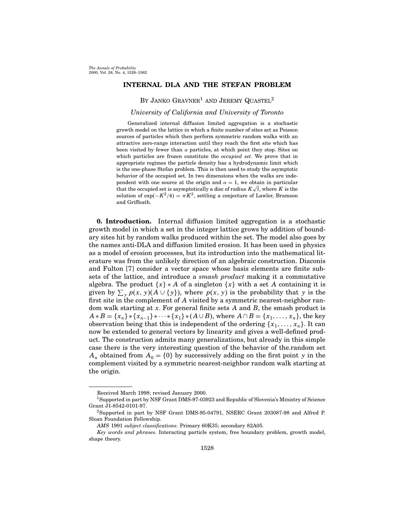## INTERNAL DLA AND THE STEFAN PROBLEM

BY JANKO  $G$ RAVNER<sup>1</sup> AND JEREMY QUASTEL<sup>2</sup>

## University of California and University of Toronto

Generalized internal diffusion limited aggregation is a stochastic growth model on the lattice in which a finite number of sites act as Poisson sources of particles which then perform symmetric random walks with an attractive zero-range interaction until they reach the first site which has been visited by fewer than  $\alpha$  particles, at which point they stop. Sites on which particles are frozen constitute the *occupied set*. We prove that in appropriate regimes the particle density has a hydrodynamic limit which is the one-phase Stefan problem. This is then used to study the asymptotic behavior of the occupied set. In two dimensions when the walks are independent with one source at the origin and  $\alpha = 1$ , we obtain in particular that the occupied set is asymptotically a disc of radius  $K\sqrt{t}$ , where K is the solution of  $\exp(-K^2/4) = \pi K^2$ , settling a conjecture of Lawler, Bramson and Griffeath.

0. Introduction. Internal diffusion limited aggregation is a stochastic growth model in which a set in the integer lattice grows by addition of boundary sites hit by random walks produced within the set. The model also goes by the names anti-DLA and diffusion limited erosion. It has been used in physics as a model of erosion processes, but its introduction into the mathematical literature was from the unlikely direction of an algebraic construction. Diaconis and Fulton [7] consider a vector space whose basis elements are finite subsets of the lattice, and introduce a smash product making it a commutative algebra. The product  $\{x\} * A$  of a singleton  $\{x\}$  with a set A containing it is given by  $\sum_{y} p(x, y) (A \cup \{y\})$ , where  $p(x, y)$  is the probability that y is the first site in the complement of A visited by a symmetric nearest-neighbor random walk starting at  $x$ . For general finite sets  $A$  and  $B$ , the smash product is  $A * B = \{x_n\} * \{x_{n-1}\} * \cdots * \{x_1\} * (A \cup B)$ , where  $A \cap B = \{x_1, \ldots, x_n\}$ , the key observation being that this is independent of the ordering  $\{x_1, \ldots, x_n\}$ . It can now be extended to general vectors by linearity and gives a well-defined product. The construction admits many generalizations, but already in this simple case there is the very interesting question of the behavior of the.random set  $A_n$  obtained from  $A_0 = \{0\}$  by successively adding on the first point y in the complement visited by a symmetric nearest-neighbor random walk starting at the origin.

Received March 1998; revised January 2000.

<sup>1</sup>Supported in part by NSF Grant DMS-97-03923 and Republic of Slovenia's Ministry of Science Grant J1-8542-0101-97.

<sup>2</sup>Supported in part by NSF Grant DMS-95-04791, NSERC Grant 203087-98 and Alfred P. Sloan Foundation Fellowship.

AMS 1991 subject classifications. Primary 60K35; secondary 82A05.

Key words and phrases. Interacting particle system, free boundary problem, growth model, shape theory.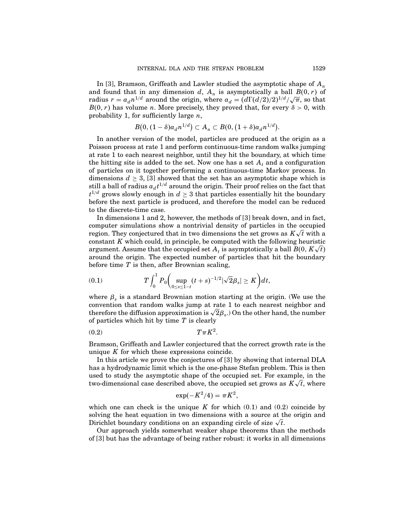In [3], Bramson, Griffeath and Lawler studied the asymptotic shape of  $A_n$ and found that in any dimension d,  $A_n$  is asymptotically a ball  $B(0, r)$  of radius  $r = a_d n^{1/d}$  around the origin, where  $a_d = (d\Gamma(d/2)/2)^{1/d}/\sqrt{\pi}$ , so that  $B(0, r)$  has volume *n*. More precisely, they proved that, for every  $\delta > 0$ , with probability 1, for sufficiently large  $n$ ,

$$
B(0,(1-\delta)a_d n^{1/d}) \subset A_n \subset B(0,(1+\delta)a_d n^{1/d}).
$$

In another version of the model, particles are produced at the origin as a Poisson process at rate 1 and perform continuous-time random walks jumping at rate 1 to each nearest neighbor, until they hit the boundary, at which time the hitting site is added to the set. Now one has a set  $A_t$  and a configuration of particles on it together performing a continuous-time Markov process. In dimensions  $d \geq 3$ , [3] showed that the set has an asymptotic shape which is still a ball of radius  $a_d t^{1/d}$  around the origin. Their proof relies on the fact that  $t^{1/d}$  grows slowly enough in  $d \geq 3$  that particles essentially hit the boundary before the next particle is produced, and therefore the model can be reduced to the discrete-time case.

In dimensions 1 and 2, however, the methods of [3] break down, and in fact, computer simulations show a nontrivial density of particles in the occupied region. They conjectured that in two dimensions the set grows as  $K\sqrt{t}$  with a constant K which could, in principle, be computed with the following heuristic argument. Assume that the occupied set  $A_t$  is asymptotically a ball  $B(0, K\sqrt{t})$ around the origin. The expected number of particles that hit the boundary before time  $T$  is then, after Brownian scaling,

(0.1) 
$$
T\int_0^1 P_0\bigg(\sup_{0\le s\le 1-t}(t+s)^{-1/2}|\sqrt{2}\beta_s|\ge K\bigg)dt,
$$

where  $\beta_s$  is a standard Brownian motion starting at the origin. (We use the convention that random walks jump at rate 1 to each nearest neighbor and therefore the diffusion approximation is  $\sqrt{2}\beta_s$ .) On the other hand, the number of particles which hit by time  $T$  is clearly

$$
(0.2) \t\t T\pi K^2.
$$

Bramson, Griffeath and Lawler conjectured that the correct growth rate is the unique  $K$  for which these expressions coincide.

In this article we prove the conjectures of [3] by showing that internal DLA has a hydrodynamic limit which is the one-phase Stefan problem. This is then used to study the asymptotic shape of the occupied set. For example, in the two-dimensional case described above, the occupied set grows as  $K\sqrt{t}$ , where

$$
\exp(-K^2/4) = \pi K^2,
$$

which one can check is the unique K for which  $(0.1)$  and  $(0.2)$  coincide by solving the heat equation in two dimensions with a source at the origin and Dirichlet boundary conditions on an expanding circle of size  $\sqrt{t}$ .

Our approach yields somewhat weaker shape theorems than the methods of [3] but has the advantage of being rather robust: it works in all dimensions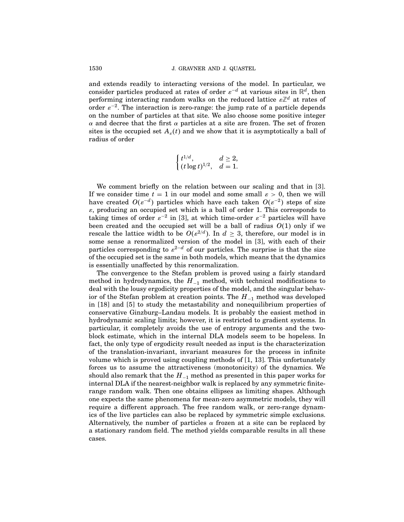and extends readily to interacting versions of the model. In particular, we consider particles produced at rates of order  $\varepsilon^{-d}$  at various sites in  $\mathbb{R}^d$ , then performing interacting random walks on the reduced lattice  $\varepsilon\mathbb{Z}^d$  at rates of order  $\varepsilon^{-2}$ . The interaction is zero-range: the jump rate of a particle depends on the number of particles at that site. We also choose some positive integer α and decree that the first α particles at a site are frozen. The set of frozen sites is the occupied set  $A_{\varepsilon}(t)$  and we show that it is asymptotically a ball of radius of order

$$
\begin{cases} t^{1/d},& d\geq 2,\\ (t\log t)^{1/2},& d=1. \end{cases}
$$

We comment briefly on the relation between our scaling and that in [3]. If we consider time  $t = 1$  in our model and some small  $\varepsilon > 0$ , then we will have created  $O(\varepsilon^{-d})$  particles which have each taken  $O(\varepsilon^{-2})$  steps of size  $\varepsilon$ , producing an occupied set which is a ball of order 1. This corresponds to taking times of order  $\varepsilon^{-2}$  in [3], at which time-order  $\varepsilon^{-2}$  particles will have been created and the occupied set will be a ball of radius  $O(1)$  only if we rescale the lattice width to be  $O(\varepsilon^{2/d})$ . In  $d \geq 3$ , therefore, our model is in some sense a renormalized version of the model in [3], with each of their particles corresponding to  $\varepsilon^{2-d}$  of our particles. The surprise is that the size of the occupied set is the same in both models, which means that the dynamics is essentially unaffected by this renormalization.

The convergence to the Stefan problem is proved using a fairly standard method in hydrodynamics, the  $H_{-1}$  method, with technical modifications to deal with the lousy ergodicity properties of the model, and the singular behavior of the Stefan problem at creation points. The  $H_{-1}$  method was developed in [18] and [5] to study the metastability and nonequilibrium properties of conservative Ginzburg–Landau models. It is probably the easiest method in hydrodynamic scaling limits; however, it is restricted to gradient systems. In particular, it completely avoids the use of entropy arguments and the twoblock estimate, which in the internal DLA models seem to be hopeless. In fact, the only type of ergodicity result needed as input is the characterization of the translation-invariant, invariant measures for the process in infinite volume which is proved using coupling methods of  $[1, 13]$ . This unfortunately forces us to assume the attractiveness (monotonicity) of the dynamics. We should also remark that the  $H_{-1}$  method as presented in this paper works for internal DLA if the nearest-neighbor walk is replaced by any symmetric finiterange random walk. Then one obtains ellipses as limiting shapes. Although one expects the same phenomena for mean-zero asymmetric models, they will require a different approach. The free random walk, or zero-range dynamics of the live particles can also be replaced by symmetric simple exclusions. Alternatively, the number of particles  $\alpha$  frozen at a site can be replaced by a stationary random field. The method yields comparable results in all these cases.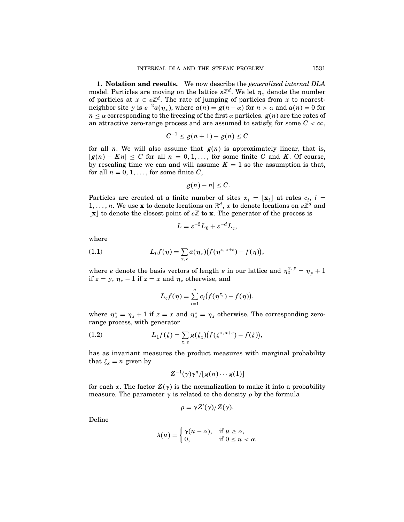1. Notation and results. We now describe the generalized internal DLA model. Particles are moving on the lattice  $\varepsilon\mathbb{Z}^d$ . We let  $\eta_x$  denote the number of particles at  $x \in \varepsilon \mathbb{Z}^d$ . The rate of jumping of particles from x to nearestneighbor site y is  $\varepsilon^{-2}a(\eta_x)$ , where  $a(n) = g(n - \alpha)$  for  $n > \alpha$  and  $a(n) = 0$  for  $n \leq \alpha$  corresponding to the freezing of the first  $\alpha$  particles.  $g(n)$  are the rates of an attractive zero-range process and are assumed to satisfy, for some  $C < \infty$ ,

$$
C^{-1}\leq g(n+1)-g(n)\leq C
$$

for all *n*. We will also assume that  $g(n)$  is approximately linear, that is,  $|g(n) - Kn| \leq C$  for all  $n = 0, 1, ...,$  for some finite C and K. Of course, by rescaling time we can and will assume  $K = 1$  so the assumption is that, for all  $n = 0, 1, \ldots$ , for some finite C,

$$
|g(n)-n|\leq C.
$$

Particles are created at a finite number of sites  $x_i = \lfloor \mathbf{x}_i \rfloor$  at rates  $c_i$ ,  $i =$  $1,\ldots,n.$  We use **x** to denote locations on  $\mathbb{R}^d$ , x to denote locations on  $\varepsilon\mathbb{Z}^d$  and  $\lfloor x \rfloor$  to denote the closest point of  $\varepsilon \mathbb{Z}$  to **x**. The generator of the process is

$$
L = \varepsilon^{-2} L_0 + \varepsilon^{-d} L_c,
$$

where

(1.1) 
$$
L_0 f(\eta) = \sum_{x, e} a(\eta_x) (f(\eta^{x, x+e}) - f(\eta)),
$$

where *e* denote the basis vectors of length  $\varepsilon$  in our lattice and  $\eta_z^{x,y} = \eta_y + 1$ if  $z = y$ ,  $\eta_x - 1$  if  $z = x$  and  $\eta_z$  otherwise, and

$$
L_c f(\eta) = \sum_{i=1}^n c_i (f(\eta^{x_i}) - f(\eta)),
$$

where  $\eta_z^x = \eta_z + 1$  if  $z = x$  and  $\eta_z^x = \eta_z$  otherwise. The corresponding zerorange process, with generator

(1.2) 
$$
L_1 f(\zeta) = \sum_{x, e} g(\zeta_x) (f(\zeta^{x, x+e}) - f(\zeta)),
$$

has as invariant measures the product measures with marginal probability that  $\zeta_x = n$  given by

$$
Z^{-1}(\gamma)\gamma^n/[g(n)\cdots g(1)]
$$

for each x. The factor  $Z(\gamma)$  is the normalization to make it into a probability measure. The parameter  $\gamma$  is related to the density  $\rho$  by the formula

$$
\rho = \gamma Z'(\gamma)/Z(\gamma).
$$

Define

$$
\lambda(u) = \begin{cases} \gamma(u-\alpha), & \text{if } u \ge \alpha, \\ 0, & \text{if } 0 \le u < \alpha. \end{cases}
$$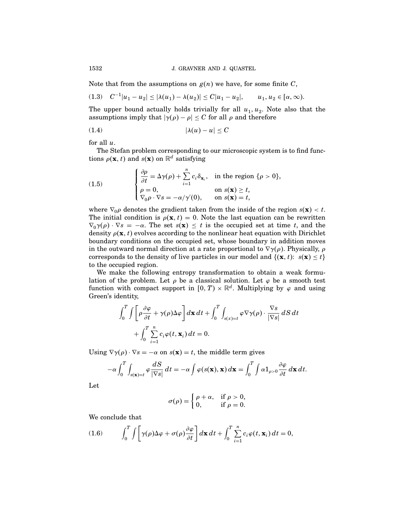Note that from the assumptions on  $g(n)$  we have, for some finite C,

$$
(1.3) \quad C^{-1}|u_1 - u_2| \le |\lambda(u_1) - \lambda(u_2)| \le C|u_1 - u_2|, \qquad u_1, u_2 \in [\alpha, \infty).
$$

The upper bound actually holds trivially for all  $u_1, u_2$ . Note also that the assumptions imply that  $|\gamma(\rho) - \rho| \leq C$  for all  $\rho$  and therefore

$$
(1.4) \t\t\t |\lambda(u) - u| \le C
$$

for all  $u$ .

The Stefan problem corresponding to our microscopic system is to find functions  $\rho(\mathbf{x}, t)$  and  $s(\mathbf{x})$  on  $\mathbb{R}^d$  satisfying

(1.5) 
$$
\begin{cases} \frac{\partial \rho}{\partial t} = \Delta \gamma(\rho) + \sum_{i=1}^{n} c_i \delta_{\mathbf{x}_i}, & \text{in the region } \{\rho > 0\}, \\ \rho = 0, & \text{on } s(\mathbf{x}) \ge t, \\ \nabla_0 \rho \cdot \nabla s = -\alpha/\gamma'(0), & \text{on } s(\mathbf{x}) = t, \end{cases}
$$

where  $\nabla_0 \rho$  denotes the gradient taken from the inside of the region  $s(\mathbf{x}) < t$ . The initial condition is  $\rho(\mathbf{x}, t) = 0$ . Note the last equation can be rewritten  $\nabla_0 \gamma(\rho) \cdot \nabla s = -\alpha$ . The set  $s(\mathbf{x}) \leq t$  is the occupied set at time t, and the density  $\rho(\mathbf{x}, t)$  evolves according to the nonlinear heat equation with Dirichlet boundary conditions on the occupied set, whose boundary in addition moves in the outward normal direction at a rate proportional to  $\nabla \gamma(\rho)$ . Physically,  $\rho$ corresponds to the density of live particles in our model and  $\{(\mathbf{x}, t): s(\mathbf{x}) \le t\}$ to the occupied region.

We make the following entropy transformation to obtain a weak formulation of the problem. Let  $\rho$  be a classical solution. Let  $\varphi$  be a smooth test function with compact support in  $[0, T) \times \mathbb{R}^d$ . Multiplying by  $\varphi$  and using Green's identity,

$$
\int_0^T \int \left[ \rho \frac{\partial \varphi}{\partial t} + \gamma(\rho) \Delta \varphi \right] d\mathbf{x} dt + \int_0^T \int_{s(x) = t} \varphi \nabla \gamma(\rho) \cdot \frac{\nabla s}{|\nabla s|} dS dt + \int_0^T \sum_{i=1}^n c_i \varphi(t, \mathbf{x}_i) dt = 0.
$$

Using  $\nabla \gamma(\rho) \cdot \nabla s = -\alpha$  on  $s(\mathbf{x}) = t$ , the middle term gives

$$
-\alpha \int_0^T \int_{s(\mathbf{x})=t} \varphi \frac{dS}{|\nabla s|} dt = -\alpha \int \varphi(s(\mathbf{x}), \mathbf{x}) d\mathbf{x} = \int_0^T \int \alpha \mathbf{1}_{\rho>0} \frac{\partial \varphi}{\partial t} d\mathbf{x} dt.
$$

Let

$$
\sigma(\rho) = \begin{cases} \rho + \alpha, & \text{if } \rho > 0, \\ 0, & \text{if } \rho = 0. \end{cases}
$$

We conclude that

(1.6) 
$$
\int_0^T \int \left[ \gamma(\rho) \Delta \varphi + \sigma(\rho) \frac{\partial \varphi}{\partial t} \right] d\mathbf{x} dt + \int_0^T \sum_{i=1}^n c_i \varphi(t, \mathbf{x}_i) dt = 0,
$$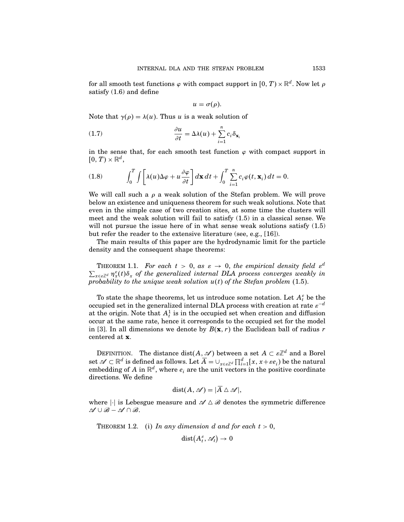for all smooth test functions  $\varphi$  with compact support in  $[0, T) \times \mathbb{R}^d$ . Now let  $\rho$ satisfy (1.6) and define

$$
u=\sigma(\rho).
$$

Note that  $\gamma(\rho) = \lambda(u)$ . Thus u is a weak solution of

(1.7) 
$$
\frac{\partial u}{\partial t} = \Delta \lambda(u) + \sum_{i=1}^{n} c_i \delta_{\mathbf{x}_i}
$$

in the sense that, for each smooth test function  $\varphi$  with compact support in  $[0, T) \times \mathbb{R}^d$ ,

(1.8) 
$$
\int_0^T \int \left[ \lambda(u) \Delta \varphi + u \frac{\partial \varphi}{\partial t} \right] d\mathbf{x} dt + \int_0^T \sum_{i=1}^n c_i \varphi(t, \mathbf{x}_i) dt = 0.
$$

We will call such a  $\rho$  a weak solution of the Stefan problem. We will prove below an existence and uniqueness theorem for such weak solutions. Note that even in the simple case of two creation sites, at some time the clusters will meet and the weak solution will fail to satisfy (1.5) in a classical sense. We will not pursue the issue here of in what sense weak solutions satisfy  $(1.5)$ but refer the reader to the extensive literature (see, e.g., [16]).

The main results of this paper are the hydrodynamic limit for the particle density and the consequent shape theorems:

THEOREM 1.1. For each  $t > 0$ , as  $\varepsilon \to 0$ , the empirical density field  $\varepsilon^d$  $\sum_{x \in \mathbb{Z}^d} \eta_x^{\varepsilon}(t) \delta_x$  of the generalized internal DLA process converges weakly in probability to the unique weak solution  $u(t)$  of the Stefan problem (1.5).

To state the shape theorems, let us introduce some notation. Let  $A_t^{\varepsilon}$  be the occupied set in the generalized internal DLA process with creation at rate  $\varepsilon^{-d}$ at the origin. Note that  $A_t^1$  is in the occupied set when creation and diffusion occur at the same rate, hence it corresponds to the occupied set for the model in [3]. In all dimensions we denote by  $B(\mathbf{x}, r)$  the Euclidean ball of radius r centered at x.

DEFINITION. The distance  $dist(A, \mathcal{A})$  between a set  $A \subset \varepsilon \mathbb{Z}^d$  and a Borel set  $\mathscr{A} \subset \mathbb{R}^d$  is defined as follows. Let  $\overline{A} = \cup_{x \in \varepsilon \mathbb{Z}^d} \prod_{i=1}^d [x, x + \varepsilon e_i]$  be the natural embedding of A in  $\mathbb{R}^d$ , where  $e_i$  are the unit vectors in the positive coordinate directions. We define

$$
dist(A, \mathscr{A}) = |\overline{A} \wedge \mathscr{A}|,
$$

where  $|\cdot|$  is Lebesgue measure and  $\mathscr{A} \Delta \mathscr{B}$  denotes the symmetric difference  $\mathscr{A} \cup \mathscr{B} - \mathscr{A} \cap \mathscr{B}.$ 

THEOREM 1.2. (i) In any dimension d and for each  $t > 0$ ,

$$
\mathrm{dist}\big(A^\varepsilon_t,\mathscr{A}_t\big)\to 0
$$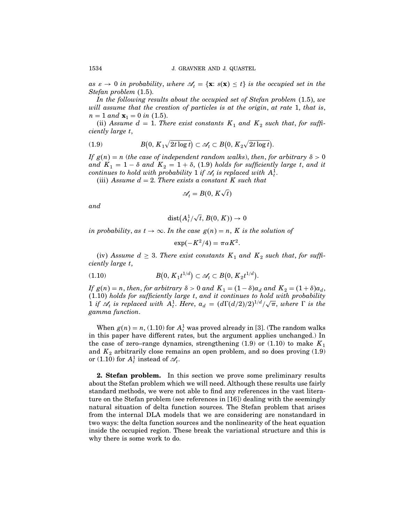as  $\varepsilon \to 0$  in probability, where  $\mathcal{A}_t = {\mathbf{x} : s(\mathbf{x}) \leq t}$  is the occupied set in the Stefan problem (1.5).

In the following results about the occupied set of Stefan problem  $(1.5)$ , we will assume that the creation of particles is at the origin, at rate 1, that is,  $n = 1$  and  $\mathbf{x}_1 = 0$  in (1.5).

(ii) Assume  $d = 1$ . There exist constants  $K_1$  and  $K_2$  such that, for sufficiently large t,

(1.9) 
$$
B(0, K_1 \sqrt{2t \log t}) \subset \mathscr{A}_t \subset B(0, K_2 \sqrt{2t \log t}).
$$

If  $g(n) = n$  (the case of independent random walks), then, for arbitrary  $\delta > 0$ and  $K_1 = 1 - \delta$  and  $K_2 = 1 + \delta$ , (1.9) holds for sufficiently large t, and it continues to hold with probability  $1$  if  $\mathscr{A}_t$  is replaced with  $A^1_t$ .

(iii) Assume  $d = 2$ . There exists a constant K such that

$$
\mathcal{A}_t=B(0,K\sqrt{t})
$$

and

$$
\mathrm{dist}\bigl(A_t^1/\sqrt{t},B(0,K))\to 0
$$

in probability, as  $t \to \infty$ . In the case  $g(n) = n$ , K is the solution of

$$
\exp(-K^2/4) = \pi \alpha K^2.
$$

(iv) Assume  $d \geq 3$ . There exist constants  $K_1$  and  $K_2$  such that, for sufficiently large t,

(1.10) 
$$
B(0, K_1 t^{1/d}) \subset \mathscr{A}_t \subset B(0, K_2 t^{1/d}).
$$

If  $g(n) = n$ , then, for arbitrary  $\delta > 0$  and  $K_1 = (1 - \delta)a_d$  and  $K_2 = (1 + \delta)a_d$ , 1 10 holds for sufficiently large t, and it continues to hold with probability 1 if  $\mathscr{A}_t$  is replaced with  $A_t^1$ . Here,  $a_d = (d\Gamma(d/2)/2)^{1/d}/\sqrt{\pi}$ , where  $\Gamma$  is the gamma function.

When  $g(n) = n$ , (1.10) for  $A_t^1$  was proved already in [3]. (The random walks in this paper have different rates, but the argument applies unchanged.) In the case of zero–range dynamics, strengthening (1.9) or (1.10) to make  $K_1$ and  $K_2$  arbitrarily close remains an open problem, and so does proving  $(1.9)$ or (1.10) for  $A_t^1$  instead of  $\mathscr{A}_t$ .

**2. Stefan problem.** In this section we prove some preliminary results about the Stefan problem which we will need. Although these results use fairly standard methods, we were not able to find any references in the vast literature on the Stefan problem (see references in [16]) dealing with the seemingly natural situation of delta function sources. The Stefan problem that arises from the internal DLA models that we are considering are nonstandard in two ways: the delta function sources and the nonlinearity of the heat equation inside the occupied region. These break the variational structure and this is why there is some work to do.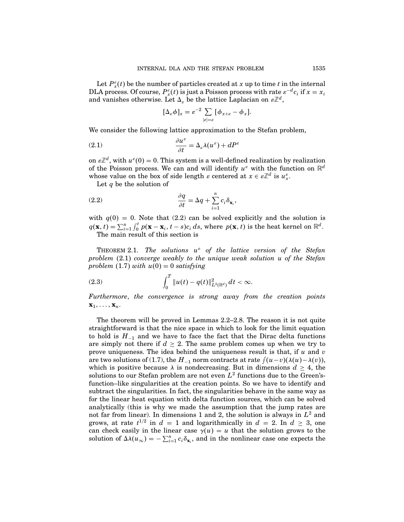Let  $P_x^{\varepsilon}(t)$  be the number of particles created at x up to time t in the internal DLA process. Of course,  $P_x^{\varepsilon}(t)$  is just a Poisson process with rate  $\varepsilon^{-d}c_i$  if  $x = x_i$ and vanishes otherwise. Let  $\Delta_{\varepsilon}$  be the lattice Laplacian on  $\varepsilon\mathbb{Z}^d$ ,

$$
[\Delta_{\varepsilon}\phi]_x = \varepsilon^{-2} \sum_{|e|=s} [\phi_{x+e} - \phi_x].
$$

We consider the following lattice approximation to the Stefan problem,

(2.1) 
$$
\frac{\partial u^{\varepsilon}}{\partial t} = \Delta_{\varepsilon} \lambda(u^{\varepsilon}) + dP^{\varepsilon}
$$

on  $\varepsilon \mathbb{Z}^d$ , with  $u^{\varepsilon}(0) = 0$ . This system is a well-defined realization by realization of the Poisson process. We can and will identify  $u^{\varepsilon}$  with the function on  $\mathbb{R}^d$ whose value on the box of side length  $\varepsilon$  centered at  $x \in \varepsilon \mathbb{Z}^d$  is  $u_x^{\varepsilon}$ .

Let  $q$  be the solution of

(2.2) 
$$
\frac{\partial q}{\partial t} = \Delta q + \sum_{i=1}^{n} c_i \delta_{\mathbf{x}_i},
$$

with  $q(0) = 0$ . Note that (2.2) can be solved explicitly and the solution is  $q(\mathbf{x}, t) = \sum_{i=1}^{n} \int_0^t p(\mathbf{x} - \mathbf{x}_i, t - s) c_i ds$ , where  $p(\mathbf{x}, t)$  is the heat kernel on  $\mathbb{R}^d$ . The main result of this section is

THEOREM 2.1. The solutions  $u^{\varepsilon}$  of the lattice version of the Stefan problem  $(2.1)$  converge weakly to the unique weak solution u of the Stefan problem  $(1.7)$  with  $u(0) = 0$  satisfying

(2.3) 
$$
\int_0^T \|u(t) - q(t)\|_{L^2(\mathbb{R}^d)}^2 dt < \infty.
$$

Furthermore, the convergence is strong away from the creation points  $\mathbf{x}_1, \ldots, \mathbf{x}_n$ .

The theorem will be proved in Lemmas 2.2–2.8. The reason it is not quite straightforward is that the nice space in which to look for the limit equation to hold is  $H_{-1}$  and we have to face the fact that the Dirac delta functions are simply not there if  $d \geq 2$ . The same problem comes up when we try to prove uniqueness. The idea behind the uniqueness result is that, if  $u$  and  $v$ are two solutions of (1.7), the  $H_{-1}$  norm contracts at rate  $\int (u-v)(\lambda(u)-\lambda(v)),$ which is positive because  $\lambda$  is nondecreasing. But in dimensions  $d \geq 4$ , the solutions to our Stefan problem are not even  $L^2$  functions due to the Green'sfunction–like singularities at the creation points. So we have to identify and subtract the singularities. In fact, the singularities behave in the same way as for the linear heat equation with delta function sources, which can be solved analytically (this is why we made the assumption that the jump rates are not far from linear). In dimensions 1 and 2, the solution is always in  $L^2$  and grows, at rate  $t^{1/2}$  in  $d = 1$  and logarithmically in  $d = 2$ . In  $d \geq 3$ , one can check easily in the linear case  $\gamma(u) = u$  that the solution grows to the solution of  $\Delta\lambda(u_{\infty}) = -\sum_{i=1}^{n} c_i \delta_{\mathbf{x}_i}$ , and in the nonlinear case one expects the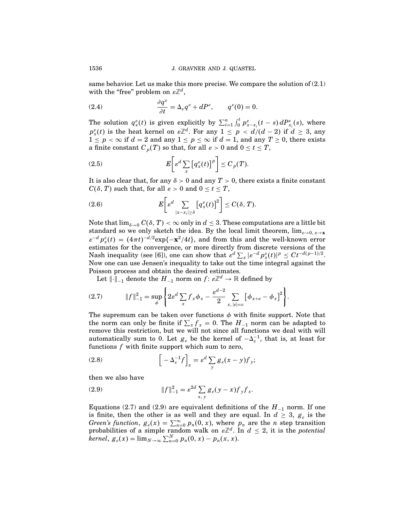same behavior. Let us make this more precise. We compare the solution of (2.1) with the "free" problem on  $\varepsilon\mathbb{Z}^d$ ,

(2.4) 
$$
\frac{\partial q^{\varepsilon}}{\partial t} = \Delta_{\varepsilon} q^{\varepsilon} + dP^{\varepsilon}, \qquad q^{\varepsilon}(0) = 0.
$$

The solution  $q_x^{\varepsilon}(t)$  is given explicitly by  $\sum_{i=1}^n \int_0^t p_{x-x_i}^{\varepsilon}(t-s) dP_{x_i}^{\varepsilon}(s)$ , where  $p_x^{\varepsilon}(t)$  is the heat kernel on  $\varepsilon \mathbb{Z}^d$ . For any  $1 \leq p \leq d/(d-2)$  if  $d \geq 3$ , any  $1 \le p < \infty$  if  $d = 2$  and any  $1 \le p \le \infty$  if  $d = 1$ , and any  $T \ge 0$ , there exists a finite constant  $C_p(T)$  so that, for all  $\varepsilon > 0$  and  $0 \le t \le T$ ,

(2.5) 
$$
E\bigg[e^d \sum_x \big[q_x^{\varepsilon}(t)\big]^p\bigg] \leq C_p(T).
$$

It is also clear that, for any  $\delta > 0$  and any  $T > 0$ , there exists a finite constant  $C(\delta, T)$  such that, for all  $\varepsilon > 0$  and  $0 \le t \le T$ ,

(2.6) 
$$
E\bigg[\varepsilon^d \sum_{|x-x_i|\geq \delta} \big[q_x^{\varepsilon}(t)\big]^2\bigg] \leq C(\delta,T).
$$

Note that  $\lim_{\delta \to 0} C(\delta, T) < \infty$  only in  $d \leq 3$ . These computations are a little bit standard so we only sketch the idea. By the local limit theorem,  $\lim_{\varepsilon\to 0, x\to \mathbf{x}}$  $\varepsilon^{-d} p_x^{\varepsilon}(t) = (4\pi t)^{-d/2} \exp\{-\mathbf{x}^2/4t\}$ , and from this and the well-known error estimates for the convergence, or more directly from discrete versions of the Nash inequality (see [6]), one can show that  $\varepsilon^d \sum_x |\varepsilon^{-d} p_x^{\varepsilon}(t)|^p \leq Ct^{-d(p-1)/2}$ . Now one can use Jensen's inequality to take out the time integral against the Poisson process and obtain the desired estimates.

Let  $\lVert \cdot \rVert_{-1}$  denote the  $H_{-1}$  norm on  $f \colon \varepsilon \mathbb{Z}^d \to \mathbb{R}$  defined by

(2.7) 
$$
||f||_{-1}^{2} = \sup_{\phi} \left\{ 2\varepsilon^{d} \sum_{x} f_{x} \phi_{x} - \frac{\varepsilon^{d-2}}{2} \sum_{x, |e|= \varepsilon} \left[ \phi_{x+e} - \phi_{x} \right]^{2} \right\}.
$$

The supremum can be taken over functions  $\phi$  with finite support. Note that the norm can only be finite if  $\sum_{x} f_x = 0$ . The  $H_{-1}$  norm can be adapted to remove this restriction, but we will not since all functions we deal with will automatically sum to 0. Let  $g_{\varepsilon}$  be the kernel of  $-\Delta_{\varepsilon}^{-1}$ , that is, at least for functions f with finite support which sum to zero,

(2.8) 
$$
\left[-\Delta_{\varepsilon}^{-1}f\right]_{x} = \varepsilon^{d} \sum_{y} g_{\varepsilon}(x-y)f_{y};
$$

then we also have

(2.9) 
$$
||f||_{-1}^{2} = \varepsilon^{2d} \sum_{x, y} g_{\varepsilon}(y - x) f_{y} f_{x}.
$$

Equations (2.7) and (2.9) are equivalent definitions of the  $H_{-1}$  norm. If one is finite, then the other is as well and they are equal. In  $d \geq 3$ ,  $g_{\varepsilon}$  is the Green's function,  $g_{\varepsilon}(x) = \sum_{n=0}^{\infty} p_n(0, x)$ , where  $p_n$  are the *n* step transition probabilities of a simple random walk on  $\varepsilon \mathbb{Z}^d$ . In  $d \leq 2$ , it is the *potential* kernel,  $g_{\varepsilon}(x) = \lim_{N \to \infty} \sum_{n=0}^{N} p_n(0, x) - p_n(x, x)$ .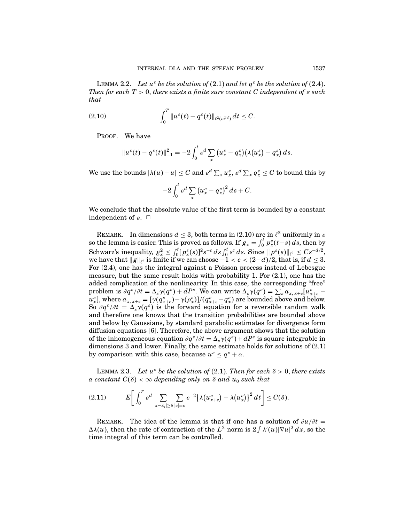LEMMA 2.2. Let  $u^{\varepsilon}$  be the solution of (2.1) and let  $q^{\varepsilon}$  be the solution of (2.4). Then for each  $T > 0$ , there exists a finite sure constant C independent of  $\varepsilon$  such that

(2.10) 
$$
\int_0^T \|u^{\varepsilon}(t) - q^{\varepsilon}(t)\|_{\ell^2(\varepsilon\mathbb{Z}^d)} dt \leq C.
$$

PROOF. We have

$$
||u^{\varepsilon}(t)-q^{\varepsilon}(t)||_{-1}^{2}=-2\int_{0}^{t}\varepsilon^{d}\sum_{x}(u_{x}^{\varepsilon}-q_{x}^{\varepsilon})(\lambda(u_{x}^{\varepsilon})-q_{x}^{\varepsilon}) ds.
$$

We use the bounds  $|\lambda(u)-u|\leq C$  and  $\varepsilon^d\sum_x u_x^\varepsilon, \varepsilon^d\sum_x q_x^\varepsilon\leq C$  to bound this by

$$
-2\int_0^t \varepsilon^d \sum_x \left(u_x^\varepsilon - q_x^\varepsilon\right)^2 ds + C.
$$

We conclude that the absolute value of the first term is bounded by a constant independent of  $\varepsilon$ .  $\Box$ 

REMARK. In dimensions  $d \leq 3$ , both terms in (2.10) are in  $\ell^2$  uniformly in  $\varepsilon$ so the lemma is easier. This is proved as follows. If  $g_x = \int_0^t p_x^e(t-s) ds$ , then by  $\text{Schwarz's inequality, } g_x^2 \leq \int_0^t [p_x^{\varepsilon}(s)]^2 s^{-c} \, ds \int_0^t s^c \, ds. \text{ Since } \|p^{\varepsilon}(s)\|_{\ell^2} \leq Cs^{-d/2},$ we have that  $||g||_{\ell^2}$  is finite if we can choose  $-1 < c < (2-d)/2$ , that is, if  $d \leq 3$ . For (2.4), one has the integral against a Poisson process instead of Lebesgue measure, but the same result holds with probability 1. For (2.1), one has the added complication of the nonlinearity. In this case, the corresponding "free" problem is  $\partial q^{\varepsilon}/\partial t = \Delta_{\varepsilon}\gamma(q^{\varepsilon}) + dP^{\varepsilon}$ . We can write  $\Delta_{\varepsilon}\gamma(q^{\varepsilon}) = \sum_{\varepsilon} a_{x, x+\varepsilon} [u^{\varepsilon}_{x+\varepsilon}$  $u_{x}^{\varepsilon}$ ], where  $a_{x, x+e} = [\gamma(q_{x+e}^{\varepsilon}) - \gamma(\rho_{x}^{\varepsilon})]/(q_{x+e}^{\varepsilon} - q_{x}^{\varepsilon})$  are bounded above and below. So  $\partial q^{\varepsilon}/\partial t = \Delta_{\varepsilon}\gamma(q^{\varepsilon})$  is the forward equation for a reversible random walk and therefore one knows that the transition probabilities are bounded above and below by Gaussians, by standard parabolic estimates for divergence form diffusion equations [6]. Therefore, the above argument shows that the solution of the inhomogeneous equation  $\partial q^{\varepsilon}/\partial t = \Delta_{\varepsilon}\gamma(q^{\varepsilon}) + dP^{\varepsilon}$  is square integrable in dimensions 3 and lower. Finally, the same estimate holds for solutions of (2.1) by comparison with this case, because  $u^{\varepsilon} \leq q^{\varepsilon} + \alpha$ .

LEMMA 2.3. Let  $u^{\varepsilon}$  be the solution of (2.1). Then for each  $\delta > 0$ , there exists a constant  $C(\delta) < \infty$  depending only on  $\delta$  and  $u_0$  such that

$$
(2.11) \t E\bigg[\int_0^T \varepsilon^d \sum_{|x-x_i|\geq \delta} \sum_{|e|= \varepsilon} \varepsilon^{-2} \big\{\lambda(u_{x+e}^{\varepsilon})-\lambda(u_x^{\varepsilon})\big\}^2 dt\bigg] \leq C(\delta).
$$

REMARK. The idea of the lemma is that if one has a solution of  $\partial u/\partial t =$  $\Delta\lambda(u)$ , then the rate of contraction of the  $L^2$  norm is  $2 \int \lambda'(u) |\nabla u|^2 dx$ , so the time integral of this term can be controlled.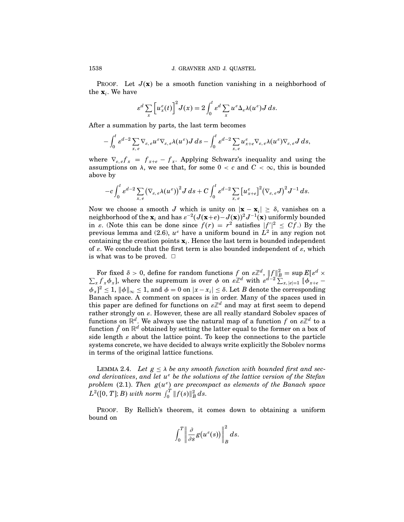PROOF. Let  $J(x)$  be a smooth function vanishing in a neighborhood of the  $\mathbf{x}_i$ . We have

$$
\varepsilon^d \sum_x \left[ u_x^{\varepsilon}(t) \right]^2 J(x) = 2 \int_0^t \varepsilon^d \sum_x u^{\varepsilon} \Delta_{\varepsilon} \lambda(u^{\varepsilon}) J ds.
$$

After a summation by parts, the last term becomes

$$
-\int_0^t \varepsilon^{d-2} \sum_{x,e} \nabla_{\varepsilon,e} u^{\varepsilon} \nabla_{\varepsilon,e} \lambda(u^{\varepsilon}) J\,ds - \int_0^t \varepsilon^{d-2} \sum_{x,e} u^{\varepsilon}_{x+e} \nabla_{\varepsilon,e} \lambda(u^{\varepsilon}) \nabla_{\varepsilon,e} J\,ds,
$$

where  $\nabla_{\varepsilon,\varepsilon} f_x = f_{x+\varepsilon} - f_x$ . Applying Schwarz's inequality and using the assumptions on  $\lambda$ , we see that, for some  $0 < c$  and  $C < \infty$ , this is bounded above by

$$
-c\int_0^t \varepsilon^{d-2}\sum_{x,\,e} (\nabla_{\varepsilon,\,e} \lambda(u^{\varepsilon}))^2 J\,ds+C\int_0^t \varepsilon^{d-2}\sum_{x,\,e} \big[u^{\varepsilon}_{x+e}\big]^2(\nabla_{\varepsilon,\,e} J)^2 J^{-1}\,ds.
$$

Now we choose a smooth J which is unity on  $|\mathbf{x} - \mathbf{x}_i| \geq \delta$ , vanishes on a neighborhood of the  $\mathbf{x}_i$  and has  $\varepsilon^{-2}(J(\mathbf{x}+e)-J(\mathbf{x}))^2J^{-1}(\mathbf{x})$  uniformly bounded in  $\varepsilon$ . (Note this can be done since  $f(r) = r^2$  satisfies  $|f''|^2 \leq Cf$ .) By the previous lemma and (2.6),  $u^\varepsilon$  have a uniform bound in  $L^2$  in any region not containing the creation points  $\mathbf{x}_i$ . Hence the last term is bounded independent of  $\varepsilon$ . We conclude that the first term is also bounded independent of  $\varepsilon$ , which is what was to be proved.  $\Box$ 

For fixed  $\delta > 0$ , define for random functions f on  $\varepsilon \mathbb{Z}^d$ ,  $||f||_B^2 = \sup E[\varepsilon^d \times \sum_x f_x \phi_x]$ , where the supremum is over  $\phi$  on  $\varepsilon \mathbb{Z}^d$  with  $\varepsilon^{d-2} \sum_{x, |\varepsilon|=1} [\phi_{x+\varepsilon} - \phi(x)]$  $\|\phi_x\|^2 \leq 1$ ,  $\|\phi\|_{\infty} \leq 1$ , and  $\phi = 0$  on  $|x - x_i| \leq \delta$ . Let B denote the corresponding Banach space. A comment on spaces is in order. Many of the spaces used in this paper are defined for functions on  $\varepsilon\mathbb{Z}^d$  and may at first seem to depend rather strongly on  $\varepsilon$ . However, these are all really standard Sobolev spaces of functions on  $\mathbb{R}^d.$  We always use the natural map of a function  $f$  on  $\varepsilon\mathbb{Z}^d$  to a function  $\tilde{f}$  on  $\mathbb{R}^d$  obtained by setting the latter equal to the former on a box of side length  $\varepsilon$  about the lattice point. To keep the connections to the particle systems concrete, we have decided to always write explicitly the Sobolev norms in terms of the original lattice functions.

LEMMA 2.4. Let  $g \leq \lambda$  be any smooth function with bounded first and second derivatives, and let  $u^{\varepsilon}$  be the solutions of the lattice version of the Stefan problem (2.1). Then  $g(u^{\varepsilon})$  are precompact as elements of the Banach space  $L^2([0, T]; B)$  with norm  $\int_0^T \|f(s)\|_B^2 ds$ .

PROOF. By Rellich's theorem, it comes down to obtaining a uniform bound on

$$
\int_0^T \left\| \frac{\partial}{\partial s} g(u^{\varepsilon}(s)) \right\|_B^2 ds.
$$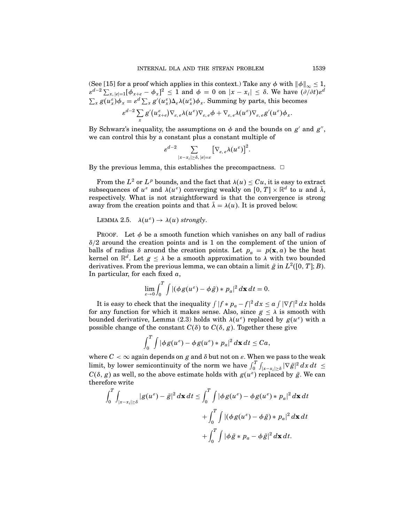(See [15] for a proof which applies in this context.) Take any  $\phi$  with  $||\phi||_{\infty} \leq 1$ ,  $\varepsilon^{d-2} \sum_{x, |e|=1} [\phi_{x+e} - \phi_x]^2 \le 1$  and  $\phi = 0$  on  $|x - x_i| \le \delta$ . We have  $(\partial/\partial t) \varepsilon^d$  $\sum_x g(u_x^{\varepsilon}) \phi_x = \varepsilon^d \sum_x g'(u_x^{\varepsilon}) \Delta_{\varepsilon} \lambda(u_x^{\varepsilon}) \phi_x$ . Summing by parts, this becomes

$$
\varepsilon^{d-2} \sum_{x} g'(u_{x+e}^{\varepsilon}) \nabla_{\varepsilon,\,e} \lambda(u^{\varepsilon}) \nabla_{\varepsilon,\,e} \phi + \nabla_{\varepsilon,\,e} \lambda(u^{\varepsilon}) \nabla_{\varepsilon,\,e} g'(u^{\varepsilon}) \phi_x.
$$

By Schwarz's inequality, the assumptions on  $\phi$  and the bounds on  $g'$  and  $g''$ , we can control this by a constant plus a constant multiple of

$$
\varepsilon^{d-2}\sum_{|x-x_i|\geq\delta,\,|e|=\varepsilon}\bigl[\nabla_{\varepsilon,\,e}\lambda(u^\varepsilon)\bigr]^2.
$$

By the previous lemma, this establishes the precompactness.  $\Box$ 

From the  $L^2$  or  $L^p$  bounds, and the fact that  $\lambda(u) \leq Cu$ , it is easy to extract subsequences of  $u^{\varepsilon}$  and  $\lambda(u^{\varepsilon})$  converging weakly on  $[0, T] \times \mathbb{R}^d$  to u and  $\overline{\lambda}$ , respectively. What is not straightforward is that the convergence is strong away from the creation points and that  $\bar{\lambda} = \lambda(u)$ . It is proved below.

LEMMA 2.5. 
$$
\lambda(u^{\varepsilon}) \to \lambda(u)
$$
 strongly.

PROOF. Let  $\phi$  be a smooth function which vanishes on any ball of radius  $\delta/2$  around the creation points and is 1 on the complement of the union of balls of radius  $\delta$  around the creation points. Let  $p_a = p(\mathbf{x}, a)$  be the heat kernel on  $\mathbb{R}^d$ . Let  $g \leq \lambda$  be a smooth approximation to  $\lambda$  with two bounded derivatives. From the previous lemma, we can obtain a limit  $\bar{g}$  in  $L^2([0, T]; B)$ . In particular, for each fixed  $a$ ,

$$
\lim_{\varepsilon\to 0}\int_0^T\int |(\phi g(u^{\varepsilon})-\phi\bar{g})\ast p_a|^2 d\mathbf{x}\,dt=0.
$$

It is easy to check that the inequality  $\int |f * p_a - f|^2 dx \le a \int |\nabla f|^2 dx$  holds for any function for which it makes sense. Also, since  $g \leq \lambda$  is smooth with bounded derivative, Lemma (2.3) holds with  $\lambda(u^{\varepsilon})$  replaced by  $g(u^{\varepsilon})$  with a possible change of the constant  $C(\delta)$  to  $C(\delta, g)$ . Together these give

$$
\int_0^T \int |\phi g(u^{\varepsilon}) - \phi g(u^{\varepsilon}) * p_a|^2 d\mathbf{x} dt \leq C a,
$$

where  $C < \infty$  again depends on g and  $\delta$  but not on  $\varepsilon$ . When we pass to the weak limit, by lower semicontinuity of the norm we have  $\int_0^T \int_{|x-x_i|\geq \delta} |\nabla \bar{g}|^2 dx dt \leq$  $C(\delta, g)$  as well, so the above estimate holds with  $g(u^{\varepsilon})$  replaced by  $\bar{g}$ . We can therefore write

$$
\int_{0}^{T} \int_{|x-x_{i}| \geq \delta} |g(u^{\varepsilon}) - \bar{g}|^{2} d\mathbf{x} dt \leq \int_{0}^{T} \int |\phi g(u^{\varepsilon}) - \phi g(u^{\varepsilon}) * p_{a}|^{2} d\mathbf{x} dt
$$
  
+ 
$$
\int_{0}^{T} \int |(\phi g(u^{\varepsilon}) - \phi \bar{g}) * p_{a}|^{2} d\mathbf{x} dt
$$
  
+ 
$$
\int_{0}^{T} \int |\phi \bar{g} * p_{a} - \phi \bar{g}|^{2} d\mathbf{x} dt.
$$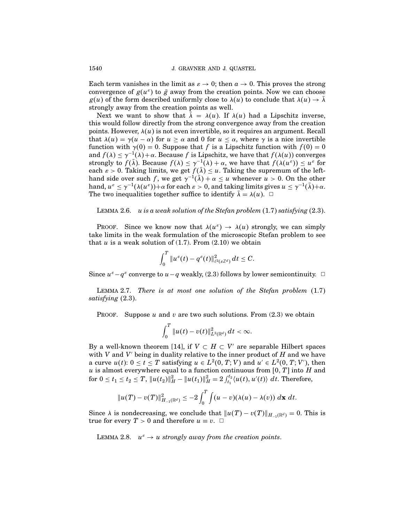Each term vanishes in the limit as  $\varepsilon \to 0$ ; then  $a \to 0$ . This proves the strong convergence of  $g(u^{\varepsilon})$  to  $\bar{g}$  away from the creation points. Now we can choose  $g(u)$  of the form described uniformly close to  $\lambda(u)$  to conclude that  $\lambda(u) \to \overline{\lambda}$ strongly away from the creation points as well.

Next we want to show that  $\bar{\lambda} = \lambda(u)$ . If  $\lambda(u)$  had a Lipschitz inverse, this would follow directly from the strong convergence away from the creation points. However,  $\lambda(u)$  is not even invertible, so it requires an argument. Recall that  $\lambda(u) = \gamma(u - \alpha)$  for  $u \ge \alpha$  and 0 for  $u \le \alpha$ , where  $\gamma$  is a nice invertible function with  $\gamma(0) = 0$ . Suppose that f is a Lipschitz function with  $f(0) = 0$ and  $f(\lambda) \leq \gamma^{-1}(\lambda) + \alpha$ . Because f is Lipschitz, we have that  $f(\lambda(u))$  converges strongly to  $f(\bar{\lambda})$ . Because  $f(\lambda) \leq \gamma^{-1}(\lambda) + \alpha$ , we have that  $f(\lambda(u^{\varepsilon})) \leq u^{\varepsilon}$  for each  $\varepsilon > 0$ . Taking limits, we get  $f(\lambda) \leq u$ . Taking the supremum of the lefthand side over such f, we get  $\gamma^{-1}(\bar{\lambda}) + \alpha \leq u$  whenever  $u > 0$ . On the other hand,  $u^{\varepsilon} \leq \gamma^{-1}(\lambda(u^{\varepsilon})) + \alpha$  for each  $\varepsilon > 0$ , and taking limits gives  $u \leq \gamma^{-1}(\overline{\lambda}) + \alpha$ . The two inequalities together suffice to identify  $\lambda = \lambda(u)$ .  $\Box$ 

LEMMA 2.6. u is a weak solution of the Stefan problem  $(1.7)$  satisfying  $(2.3)$ .

PROOF. Since we know now that  $\lambda(u^{\varepsilon}) \to \lambda(u)$  strongly, we can simply take limits in the weak formulation of the microscopic Stefan problem to see that  $u$  is a weak solution of (1.7). From (2.10) we obtain

$$
\int_0^T\|u^\varepsilon(t)-q^\varepsilon(t)\|^2_{\ell^2(\varepsilon\mathbb{Z}^d)}\,dt\leq C.
$$

Since  $u^{\varepsilon} - q^{\varepsilon}$  converge to  $u - q$  weakly, (2.3) follows by lower semicontinuity.  $□$ 

LEMMA 2.7. There is at most one solution of the Stefan problem  $(1.7)$ satisfying  $(2.3)$ .

PROOF. Suppose u and v are two such solutions. From  $(2.3)$  we obtain

$$
\int_0^T \|u(t)-v(t)\|_{L^2(\mathbb{R}^d)}^2 dt < \infty.
$$

By a well-known theorem [14], if  $V \subset H \subset V'$  are separable Hilbert spaces with  $V$  and  $V'$  being in duality relative to the inner product of  $H$  and we have a curve  $u(t)$ :  $0 \le t \le T$  satisfying  $u \in L^2(0, T; V)$  and  $u' \in L^2(0, T; V')$ , then u is almost everywhere equal to a function continuous from  $[0, T]$  into H and for  $0 \le t_1 \le t_2 \le T$ ,  $||u(t_2)||_H^2 - ||u(t_1)||_H^2 = 2 \int_{t_1}^{t_2} \langle u(t), u'(t) \rangle dt$ . Therefore,

$$
||u(T) - v(T)||_{H_{-1}(\mathbb{R}^d)}^2 \leq -2 \int_0^T \int (u - v)(\lambda(u) - \lambda(v)) \, d\mathbf{x} \, dt.
$$

Since  $\lambda$  is nondecreasing, we conclude that  $||u(T) - v(T)||_{H^{-1}(\mathbb{R}^d)} = 0$ . This is true for every  $T > 0$  and therefore  $u \equiv v$ .  $\Box$ 

LEMMA 2.8.  $u^{\varepsilon} \to u$  strongly away from the creation points.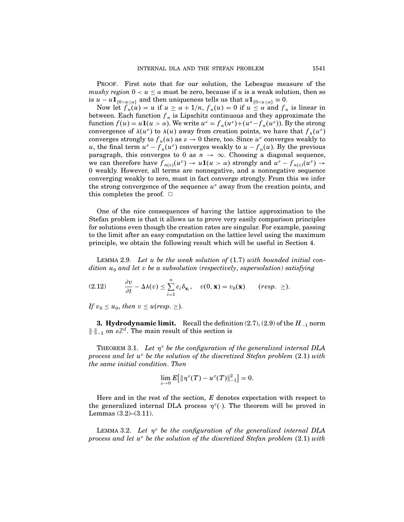PROOF. First note that for our solution, the Lebesgue measure of the mushy region  $0 < u < \alpha$  must be zero, because if u is a weak solution, then so is  $u - u \mathbf{1}_{\{0 < u \leq \alpha\}}$  and then uniqueness tells us that  $u \mathbf{1}_{\{0 < u \leq \alpha\}} \equiv 0$ .

Now let  $f_n(u) = u$  if  $u \ge \alpha + 1/n$ ,  $f_n(u) = 0$  if  $u \le \alpha$  and  $f_n$  is linear in between. Each function  $f_n$  is Lipschitz continuous and they approximate the function  $f(u) = u \mathbf{1}(u > \alpha)$ . We write  $u^{\varepsilon} = f_n(u^{\varepsilon}) + (u^{\varepsilon}-f_n(u^{\varepsilon}))$ . By the strong convergence of  $\lambda(u^{\varepsilon})$  to  $\lambda(u)$  away from creation points, we have that  $f_n(u^{\varepsilon})$ converges strongly to  $f_n(u)$  as  $\varepsilon \to 0$  there, too. Since  $u^{\varepsilon}$  converges weakly to u, the final term  $u^{\varepsilon} - f_n(u^{\varepsilon})$  converges weakly to  $u - f_n(u)$ . By the previous paragraph, this converges to 0 as  $n \to \infty$ . Choosing a diagonal sequence, we can therefore have  $f_{n(\varepsilon)}(u^{\varepsilon}) \to u\mathbf{1}(u > \alpha)$  strongly and  $u^{\varepsilon} - f_{n(\varepsilon)}(u^{\varepsilon}) \to$ 0 weakly. However, all terms are nonnegative, and a nonnegative sequence converging weakly to zero, must in fact converge strongly. From this we infer the strong convergence of the sequence  $u^{\varepsilon}$  away from the creation points, and this completes the proof.  $\Box$ 

One of the nice consequences of having the lattice approximation to the Stefan problem is that it allows us to prove very easily comparison principles for solutions even though the creation rates are singular. For example, passing to the limit after an easy computation on the lattice level using the maximum principle, we obtain the following result which will be useful in Section 4.

LEMMA 2.9. Let u be the weak solution of  $(1.7)$  with bounded initial condition  $u_0$  and let v be a subsolution (respectively, supersolution) satisfying

$$
(2.12) \qquad \frac{\partial v}{\partial t} - \Delta \lambda(v) \leq \sum_{i=1}^{n} c_i \delta_{\mathbf{x}_i}, \quad v(0, \mathbf{x}) = v_0(\mathbf{x}) \qquad (resp. \geq).
$$

If  $v_0 \leq u_0$ , then  $v \leq u$  (resp.  $\geq$ ).

**3. Hydrodynamic limit.** Recall the definition  $(2.7), (2.9)$  of the  $H_{-1}$  norm  $\lVert \cdot \rVert_{-1}$  on  $\varepsilon \mathbb{Z}^d$ . The main result of this section is

THEOREM 3.1. Let  $\eta^{\varepsilon}$  be the configuration of the generalized internal DLA process and let  $u^{\varepsilon}$  be the solution of the discretized Stefan problem (2.1) with the same initial condition.Then

$$
\lim_{\varepsilon \to 0} E[ \| \eta^{\varepsilon}(T) - u^{\varepsilon}(T) \|_{-1}^2 ] = 0.
$$

Here and in the rest of the section,  $E$  denotes expectation with respect to the generalized internal DLA process  $\eta^{\epsilon}(\cdot)$ . The theorem will be proved in Lemmas (3.2)–(3.11).

LEMMA 3.2. Let  $\eta^{\varepsilon}$  be the configuration of the generalized internal DLA process and let  $u^{\varepsilon}$  be the solution of the discretized Stefan problem (2.1) with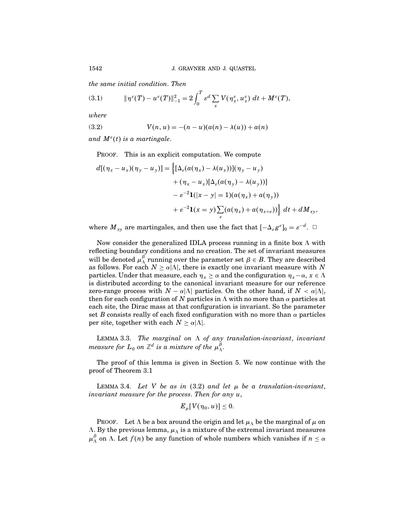the same initial condition.Then

(3.1) 
$$
\|\eta^{\varepsilon}(T) - u^{\varepsilon}(T)\|_{-1}^{2} = 2 \int_{0}^{T} \varepsilon^{d} \sum_{x} V(\eta^{\varepsilon}_{x}, u^{\varepsilon}_{x}) dt + M^{\varepsilon}(T),
$$

where

(3.2) 
$$
V(n, u) = -(n - u)(a(n) - \lambda(u)) + a(n)
$$

and  $M^{\varepsilon}(t)$  is a martingale.

PROOF. This is an explicit computation. We compute

$$
d[(\eta_x - u_x)(\eta_y - u_y)] = \left\{ [\Delta_{\varepsilon}(a(\eta_x) - \lambda(u_x))](\eta_y - u_y) + (\eta_x - u_x)[\Delta_{\varepsilon}(a(\eta_y) - \lambda(u_y))] - \varepsilon^{-2}\mathbf{1}(|x - y| = 1)(a(\eta_x) + a(\eta_y)) + \varepsilon^{-2}\mathbf{1}(x = y) \sum_{e} (a(\eta_x) + a(\eta_{x+e})) \right\} dt + dM_{xy},
$$

where  $M_{xy}$  are martingales, and then use the fact that  $[-\Delta_{\varepsilon}g^{\varepsilon}]_0 = \varepsilon^{-d}$ .  $\Box$ 

Now consider the generalized IDLA process running in a finite box  $\Lambda$  with reflecting boundary conditions and no creation. The set of invariant measures will be denoted  $\mu_{\Lambda}^{\beta}$  running over the parameter set  $\beta \in B$ . They are described as follows. For each  $N \ge \alpha |\Lambda|$ , there is exactly one invariant measure with N particles. Under that measure, each  $\eta_x \ge \alpha$  and the configuration  $\eta_x - \alpha, x \in \Lambda$ is distributed according to the canonical invariant measure for our reference zero-range process with  $N - \alpha |\Lambda|$  particles. On the other hand, if  $N < \alpha |\Lambda|$ , then for each configuration of N particles in  $\Lambda$  with no more than  $\alpha$  particles at each site, the Dirac mass at that configuration is invariant. So the parameter set B consists really of each fixed configuration with no more than  $\alpha$  particles per site, together with each  $N \ge \alpha |\Lambda|$ .

LEMMA 3.3. The marginal on  $\Lambda$  of any translation-invariant, invariant measure for  $L_0$  on  $\mathbb{Z}^d$  is a mixture of the  $\mu_\Lambda^\beta.$ 

The proof of this lemma is given in Section 5. We now continue with the proof of Theorem 3.1

LEMMA 3.4. Let V be as in  $(3.2)$  and let  $\mu$  be a translation-invariant, invariant measure for the process. Then for any  $u$ ,

$$
E_{\mu}[V(\eta_0, u)] \leq 0.
$$

PROOF. Let  $\Lambda$  be a box around the origin and let  $\mu_{\Lambda}$  be the marginal of  $\mu$  on  $\Lambda$ . By the previous lemma,  $\mu_{\Lambda}$  is a mixture of the extremal invariant measures  $\mu_{\Lambda}^{\beta}$  on  $\Lambda$ . Let  $f(n)$  be any function of whole numbers which vanishes if  $n \leq \alpha$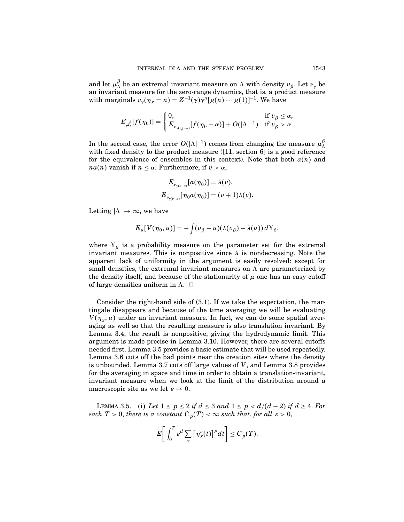and let  $\mu_{\Lambda}^{\beta}$  be an extremal invariant measure on  $\Lambda$  with density  $v_{\beta}$ . Let  $v_{\gamma}$  be an invariant measure for the zero-range dynamics, that is, a product measure with marginals  $\nu_{\gamma}(\eta_x = n) = Z^{-1}(\gamma)\gamma^{n}[g(n)\cdots g(1)]^{-1}$ . We have

$$
E_{\mu_{\Lambda}^{\beta}}[f(\eta_0)] = \begin{cases} 0, & \text{if } v_{\beta} \leq \alpha, \\ E_{\nu_{\gamma(v_{\beta}-\alpha)}}[f(\eta_0-\alpha)] + O(|\Lambda|^{-1}) & \text{if } v_{\beta} > \alpha. \end{cases}
$$

In the second case, the error  $O(|\Lambda|^{-1})$  comes from changing the measure  $\mu_{\Lambda}^{\beta}$ with fixed density to the product measure ([11, section 6] is a good reference for the equivalence of ensembles in this context). Note that both  $a(n)$  and  $na(n)$  vanish if  $n \leq \alpha$ . Furthermore, if  $v > \alpha$ ,

$$
E_{\nu_{\gamma(v-a)}}[a(\eta_0)] = \lambda(v),
$$
  

$$
E_{\nu_{\gamma(v-a)}}[\eta_0 a(\eta_0)] = (v+1)\lambda(v)
$$

Letting  $|\Lambda| \to \infty$ , we have

$$
E_{\mu}[V(\eta_0, u)] = -\int (v_{\beta} - u)(\lambda(v_{\beta}) - \lambda(u)) dY_{\beta},
$$

where  $Y_{\beta}$  is a probability measure on the parameter set for the extremal invariant measures. This is nonpositive since  $\lambda$  is nondecreasing. Note the apparent lack of uniformity in the argument is easily resolved: except for small densities, the extremal invariant measures on  $\Lambda$  are parameterized by the density itself, and because of the stationarity of  $\mu$  one has an easy cutoff of large densities uniform in  $\Lambda$ .  $\Box$ 

Consider the right-hand side of (3.1). If we take the expectation, the martingale disappears and because of the time averaging we will be evaluating  $V(\eta_x, u)$  under an invariant measure. In fact, we can do some spatial averaging as well so that the resulting measure is also translation invariant. By Lemma 3.4, the result is nonpositive, giving the hydrodynamic limit. This argument is made precise in Lemma 3.10. However, there are several cutoffs needed first. Lemma 3.5 provides a basic estimate that will be used repeatedly. Lemma 3.6 cuts off the bad points near the creation sites where the density is unbounded. Lemma 3.7 cuts off large values of  $V$ , and Lemma 3.8 provides for the averaging in space and time in order to obtain a translation-invariant, invariant measure when we look at the limit of the distribution around a macroscopic site as we let  $\varepsilon \to 0$ .

LEMMA 3.5. (i) Let  $1 \leq p \leq 2$  if  $d \leq 3$  and  $1 \leq p \leq d/(d-2)$  if  $d \geq 4$ . For each  $T > 0$ , there is a constant  $C_p(T) < \infty$  such that, for all  $\varepsilon > 0$ ,

$$
E\bigg[\int_0^T \varepsilon^d \sum_x \big[\eta^{\varepsilon}_x(t)\big]^p dt\bigg] \leq C_p(T).
$$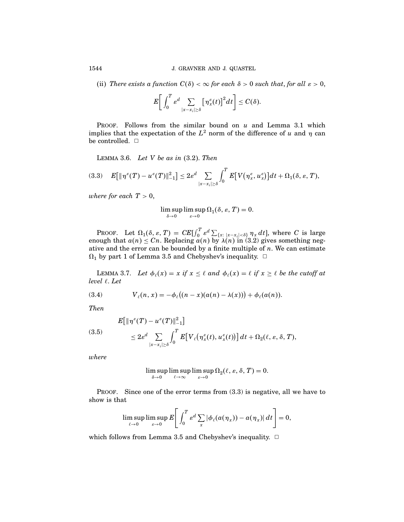(ii) There exists a function  $C(\delta) < \infty$  for each  $\delta > 0$  such that, for all  $\varepsilon > 0$ ,

$$
E\bigg[\int_0^T \varepsilon^d \sum_{|x-x_i|\geq \delta}\big[\eta^{\varepsilon}_x(t)\big]^2 dt\bigg] \leq C(\delta).
$$

PROOF. Follows from the similar bound on  $u$  and Lemma 3.1 which implies that the expectation of the  $L^2$  norm of the difference of u and  $\eta$  can be controlled.  $\square$ 

LEMMA 3.6. Let V be as in  $(3.2)$ . Then

$$
(3.3) \quad E\big[\|\eta^{\varepsilon}(T) - u^{\varepsilon}(T)\|_{-1}^2\big] \leq 2\varepsilon^d \sum_{|x-x_i|\geq \delta} \int_0^T E\big[V\big(\eta^{\varepsilon}_x,u^{\varepsilon}_x\big)\big]dt + \Omega_1(\delta,\varepsilon,T),
$$

where for each  $T > 0$ ,

$$
\limsup_{\delta \to 0} \limsup_{\varepsilon \to 0} \Omega_1(\delta, \varepsilon, T) = 0.
$$

**PROOF.** Let  $\Omega_1(\delta, \varepsilon, T) = CE[\int_0^T \varepsilon^d \sum_{\{x: \; |x-x_i| < \delta\}} \eta_x dt]$ , where C is large enough that  $a(n) \leq C_n$ . Replacing  $a(n)$  by  $\lambda(n)$  in (3.2) gives something negative and the error can be bounded by a finite multiple of  $n$ . We can estimate  $\Omega_1$  by part 1 of Lemma 3.5 and Chebyshev's inequality.  $\Box$ 

LEMMA 3.7. Let  $\phi_{\ell}(x) = x$  if  $x \leq \ell$  and  $\phi_{\ell}(x) = \ell$  if  $x \geq \ell$  be the cutoff at  $level \ell.$  Let

(3.4) 
$$
V_{\ell}(n, x) = -\phi_{\ell}((n - x)(a(n) - \lambda(x))) + \phi_{\ell}(a(n)).
$$

Then

(3.5)  

$$
E[\|\eta^{\varepsilon}(T) - u^{\varepsilon}(T)\|_{-1}^{2}]
$$

$$
\leq 2\varepsilon^{d} \sum_{|x-x_{i}| \geq \delta} \int_{0}^{T} E[V_{\ell}(\eta^{\varepsilon}_{x}(t), u^{\varepsilon}_{x}(t))] dt + \Omega_{2}(\ell, \varepsilon, \delta, T),
$$

where

$$
\limsup_{\delta \to 0} \limsup_{\ell \to \infty} \limsup_{\varepsilon \to 0} \Omega_2(\ell, \varepsilon, \delta, T) = 0.
$$

PROOF. Since one of the error terms from  $(3.3)$  is negative, all we have to show is that

$$
\limsup_{\ell\to 0}\limsup_{\varepsilon\to 0}E\left[\int_0^T \varepsilon^d\sum_x |\phi_\ell(a(\eta_x))-a(\eta_x)| dt\right]=0,
$$

which follows from Lemma 3.5 and Chebyshev's inequality.  $\Box$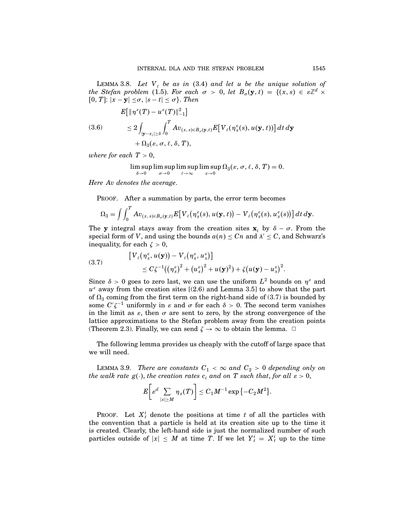LEMMA 3.8. Let  $V_{\ell}$  be as in (3.4) and let u be the unique solution of the Stefan problem (1.5). For each  $\sigma > 0$ , let  $B_{\sigma}(\mathbf{y},t) = \{ (x,s) \in \varepsilon \mathbb{Z}^d \times$ [0, T]:  $|x - y| \leq \sigma$ ,  $|s - t| \leq \sigma$  }. Then

(3.6)  
\n
$$
E[\|\eta^{\varepsilon}(T) - u^{\varepsilon}(T)\|_{-1}^{2}]
$$
\n
$$
\leq 2 \int_{|\mathbf{y}-x_{i}| \geq \delta} \int_{0}^{T} Av_{(x, s) \in B_{\sigma}(\mathbf{y}, t)} E[V_{\ell}(\eta^{\varepsilon}_{x}(s), u(\mathbf{y}, t))] dt d\mathbf{y}
$$
\n
$$
+ \Omega_{3}(\varepsilon, \sigma, \ell, \delta, T),
$$

where for each  $T > 0$ ,

$$
\limsup_{\delta \to 0} \limsup_{\sigma \to 0} \limsup_{\ell \to \infty} \limsup_{\varepsilon \to 0} \Omega_3(\varepsilon, \sigma, \ell, \delta, T) = 0.
$$

Here Av denotes the average.

PROOF. After a summation by parts, the error term becomes

$$
\Omega_3 = \int \int_0^T Av_{(x,s)\in B_{\sigma}(\mathbf{y},t)} E\big[V_{\ell}\big(\eta^{\varepsilon}_x(s), u(\mathbf{y},t)\big) - V_{\ell}\big(\eta^{\varepsilon}_x(s), u^{\varepsilon}_x(s)\big)\big] dt d\mathbf{y}.
$$

The y integral stays away from the creation sites  $\mathbf{x}_i$  by  $\delta - \sigma$ . From the special form of V, and using the bounds  $a(n) \leq Cn$  and  $\lambda' \leq C$ , and Schwarz's inequality, for each  $\zeta > 0$ ,

(3.7) 
$$
\begin{aligned} \left[V_{\ell}(\eta_x^{\varepsilon}, u(\mathbf{y})) - V_{\ell}(\eta_x^{\varepsilon}, u_x^{\varepsilon})\right] \\ &\leq C\zeta^{-1}\big((\eta_x^{\varepsilon})^2 + (u_x^{\varepsilon})^2 + u(\mathbf{y})^2\big) + \zeta\big(u(\mathbf{y}) - u_x^{\varepsilon}\big)^2. \end{aligned}
$$

Since  $\delta > 0$  goes to zero last, we can use the uniform  $L^2$  bounds on  $\eta^{\varepsilon}$  and  $u^{\varepsilon}$  away from the creation sites [(2.6) and Lemma 3.5] to show that the part of  $\Omega_3$  coming from the first term on the right-hand side of (3.7) is bounded by some  $C'\zeta^{-1}$  uniformly in  $\varepsilon$  and  $\sigma$  for each  $\delta > 0$ . The second term vanishes in the limit as  $\varepsilon$ , then  $\sigma$  are sent to zero, by the strong convergence of the lattice approximations to the Stefan problem away from the creation points (Theorem 2.3). Finally, we can send  $\zeta \to \infty$  to obtain the lemma.  $\Box$ 

The following lemma provides us cheaply with the cutoff of large space that we will need.

LEMMA 3.9. There are constants  $C_1 < \infty$  and  $C_2 > 0$  depending only on the walk rate  $g(\cdot)$ , the creation rates  $c_i$  and on T such that, for all  $\varepsilon > 0$ ,

$$
E\bigg[ \varepsilon^d \sum_{|x| \geq M} \eta_x(T) \bigg] \leq C_1 M^{-1} \exp \big\{ - C_2 M^2 \big\}.
$$

PROOF. Let  $X_t^i$  denote the positions at time t of all the particles with the convention that a particle is held at its creation site up to the time it is created. Clearly, the left-hand side is just the normalized number of such particles outside of  $|x| \leq M$  at time T. If we let  $Y_t^i = X_t^i$  up to the time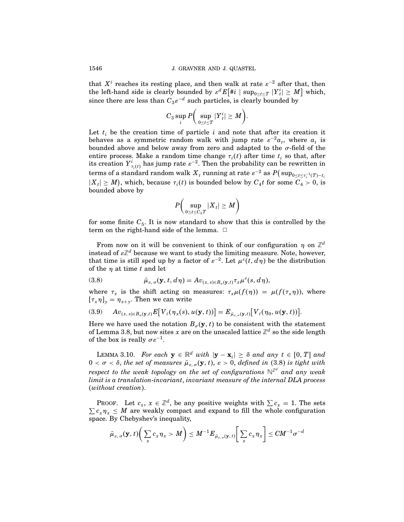that  $X<sup>i</sup>$  reaches its resting place, and then walk at rate  $\varepsilon^{-2}$  after that, then the left-hand side is clearly bounded by  $\varepsilon^d E[\#i \mid \sup_{0 \le t \le T} |Y_i^i| \ge M]$  which, since there are less than  $C_3\varepsilon^{-d}$  such particles, is clearly bounded by

$$
C_3 \sup_i P\bigg(\sup_{0\leq t\leq T}|{Y}^i_t|\geq M\bigg).
$$

Let  $t_i$  be the creation time of particle i and note that after its creation it behaves as a symmetric random walk with jump rate  $\varepsilon^{-2}a_t$ , where  $a_t$  is bounded above and below away from zero and adapted to the  $\sigma$ -field of the entire process. Make a random time change  $\tau_i(t)$  after time  $t_i$  so that, after its creation  $Y^i_{\tau_i(t)}$  has jump rate  $\varepsilon^{-2}$ . Then the probability can be rewritten in  ${\rm terms~of~a~standard~random~walk}~X_t$  running at rate  $\varepsilon^{-2}$  as  $P(\sup_{0\leq t\leq \tau_i^{-1}(T)-t_i}$  $|X_t| \geq M$ , which, because  $\tau_i(t)$  is bounded below by  $C_4 t$  for some  $C_4 > 0$ , is bounded above by

$$
P\bigg(\sup_{0\leq t\leq C_5T}|X_t|\geq M\bigg)
$$

for some finite  $C_5$ . It is now standard to show that this is controlled by the term on the right-hand side of the lemma.  $\Box$ 

From now on it will be convenient to think of our configuration  $\eta$  on  $\mathbb{Z}^d$ instead of  $\varepsilon\mathbb{Z}^d$  because we want to study the limiting measure. Note, however, that time is still sped up by a factor of  $\varepsilon^{-2}$ . Let  $\mu^{\varepsilon}(t, d\eta)$  be the distribution of the  $\eta$  at time t and let

(3.8) 
$$
\bar{\mu}_{\varepsilon,\sigma}(\mathbf{y},t,d\eta) = A v_{(x,s)\in B_{\sigma}(\mathbf{y},t)} \tau_x \mu^{\varepsilon}(s,d\eta),
$$

where  $\tau_x$  is the shift acting on measures:  $\tau_x \mu(f(\eta)) = \mu(f(\tau_x \eta))$ , where  $[\tau_x \eta]_{y} = \eta_{x+y}$ . Then we can write

$$
(3.9) \qquad Av_{(x,s)\in B_{\sigma}(\mathbf{y},t)} E[V_{\ell}(\eta_x(s),u(\mathbf{y},t))] = E_{\bar{\mu}_{\varepsilon,\sigma}(\mathbf{y},t)}[V_{\ell}(\eta_0,u(\mathbf{y},t))].
$$

Here we have used the notation  $B_{\sigma}(\mathbf{y},t)$  to be consistent with the statement of Lemma 3.8, but now sites  $x$  are on the unscaled lattice  $\mathbb{Z}^d$  so the side length of the box is really  $\sigma \varepsilon^{-1}$ .

LEMMA 3.10. For each  $y \in \mathbb{R}^d$  with  $|y - x_i| \geq \delta$  and any  $t \in [0, T]$  and  $0 < \sigma < \delta$ , the set of measures  $\bar{\mu}_{\varepsilon, \sigma}(\mathbf{y}, t)$ ,  $\varepsilon > 0$ , defined in (3.8) is tight with respect to the weak topology on the set of configurations  $\mathbb{N}^{\mathbb{Z}^d}$  and any weak limit is a translation-invariant, invariant measure of the internal DLA process (without creation).

PROOF. Let  $c_x$ ,  $x \in \mathbb{Z}^d$ , be any positive weights with  $\sum c_x = 1$ . The sets  $\sum c_x \eta_x \leq M$  are weakly compact and expand to fill the whole configuration space. By Chebyshev's inequality,

$$
\bar{\mu}_{\varepsilon,\,\sigma}(\mathbf{y},t)\bigg(\sum_x c_x \eta_x > M\bigg) \leq M^{-1} E_{\bar{\mu}_{\varepsilon,\,\sigma}(\mathbf{y},\,t)}\bigg[\sum_x c_x \eta_x\bigg] \leq CM^{-1}\sigma^{-d}
$$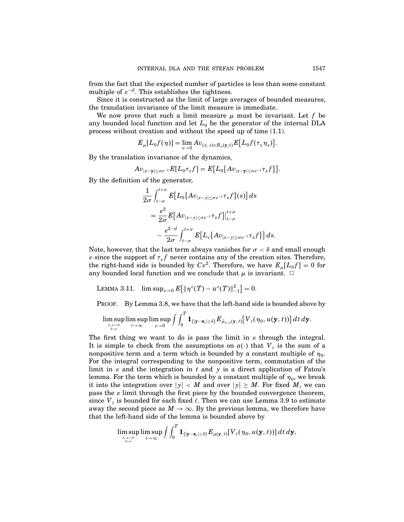from the fact that the expected number of particles is less than some constant multiple of  $\varepsilon^{-d}$ . This establishes the tightness.

Since it is constructed as the limit of large averages of bounded measures, the translation invariance of the limit measure is immediate.

We now prove that such a limit measure  $\mu$  must be invariant. Let f be any bounded local function and let  $L_0$  be the generator of the internal DLA process without creation and without the speed up of time (1.1).

$$
E_{\mu}[L_0f(\eta)] = \lim_{\varepsilon \to 0} A v_{(x, s) \in B_{\sigma}(\mathbf{y}, t)} E[L_0f(\tau_x \eta_s)].
$$

By the translation invariance of the dynamics,

$$
Av_{|x-\mathbf{y}|\leq \sigma\varepsilon^{-1}}E[L_0\tau_x f]=E\big[L_0\big\{Av_{|x-\mathbf{y}|\leq \sigma\varepsilon^{-1}}\tau_x f\big\}\big].
$$

By the definition of the generator,

$$
\frac{1}{2\sigma} \int_{t-\sigma}^{t+\sigma} E[L_0\{Av_{|x-y|\leq \sigma \varepsilon^{-1}} \tau_x f\}(s)] ds
$$
  
\n
$$
= \frac{\varepsilon^2}{2\sigma} E[Av_{|x-y|\leq \sigma \varepsilon^{-1}} \tau_x f]|_{t-\sigma}^{t+\sigma}
$$
  
\n
$$
- \frac{\varepsilon^{2-d}}{2\sigma} \int_{t-\sigma}^{t+\sigma} E[L_c\{Av_{|x-y|\leq \sigma \varepsilon^{-1}} \tau_x f\}] ds.
$$

Note, however, that the last term always vanishes for  $\sigma < \delta$  and small enough  $\varepsilon$  since the support of  $\tau_x f$  never contains any of the creation sites. Therefore, the right-hand side is bounded by  $C\varepsilon^2$ . Therefore, we have  $E_u[L_0f] = 0$  for any bounded local function and we conclude that  $\mu$  is invariant.  $\Box$ 

```
LEMMA 3.11. \limsup_{\varepsilon \to 0} E[ \| \eta^{\varepsilon}(T) - u^{\varepsilon}(T) \|_{-1}^2 ] = 0.
```
PROOF. By Lemma 3.8, we have that the left-hand side is bounded above by

$$
\limsup_{\delta,\sigma\to 0\atop \delta>\sigma}\limsup_{\ell\to\infty}\limsup_{\varepsilon\to 0}\int\int_0^T{\bf 1}_{\{|{\bf y}-{\bf x}_i|\geq\delta\}}E_{\tilde\mu_{\varepsilon,\,\sigma}({\bf y},\,t)}\bigl[V_\ell(\eta_0,u({\bf y},t))\bigr]\,dt\,d{\bf y}.
$$

The first thing we want to do is pass the limit in  $\varepsilon$  through the integral. It is simple to check from the assumptions on  $a(\cdot)$  that  $V_{\ell}$  is the sum of a nonpositive term and a term which is bounded by a constant multiple of  $\eta_0$ . For the integral corresponding to the nonpositive term, commutation of the limit in  $\varepsilon$  and the integration in  $t$  and  $y$  is a direct application of Fatou's lemma. For the term which is bounded by a constant multiple of  $\eta_0$ , we break it into the integration over  $|y| < M$  and over  $|y| \ge M$ . For fixed M, we can pass the  $\varepsilon$  limit through the first piece by the bounded convergence theorem, since  $V_{\ell}$  is bounded for each fixed  $\ell$ . Then we can use Lemma 3.9 to estimate away the second piece as  $M \to \infty$ . By the previous lemma, we therefore have that the left-hand side of the lemma is bounded above by

$$
\limsup_{\delta, \sigma \to 0 \atop \delta > \sigma} \limsup_{\ell \to \infty} \int \int_0^T {\bf 1}_{\{|{\bf y} - {\bf x}_i| \ge \delta\}} E_{\mu({\bf y},\,t)} [V_{\ell}(\eta_0, u({\bf y},t))] \, dt \, d{\bf y},
$$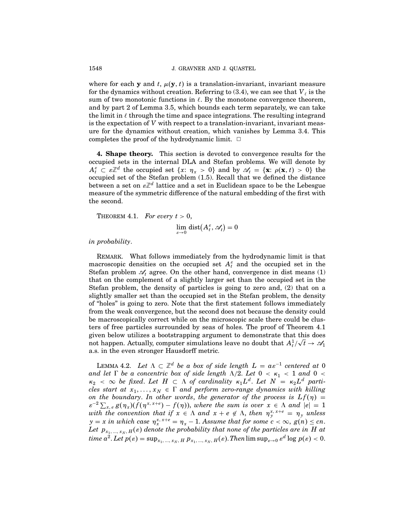where for each **y** and t,  $\mu(\mathbf{y}, t)$  is a translation-invariant, invariant measure for the dynamics without creation. Referring to  $(3.4)$ , we can see that  $V_{\ell}$  is the sum of two monotonic functions in  $\ell$ . By the monotone convergence theorem, and by part 2 of Lemma 3.5, which bounds each term separately, we can take the limit in  $\ell$  through the time and space integrations. The resulting integrand is the expectation of V with respect to a translation-invariant, invariant measure for the dynamics without creation, which vanishes by Lemma 3.4. This completes the proof of the hydrodynamic limit.  $\Box$ 

4. Shape theory. This section is devoted to convergence results for the occupied sets in the internal DLA and Stefan problems. We will denote by  $A_t^{\varepsilon} \subset \varepsilon \mathbb{Z}^d$  the occupied set  $\{x: \eta_x > 0\}$  and by  $\mathscr{A}_t = \{\mathbf{x}: \rho(\mathbf{x}, t) > 0\}$  the occupied set of the Stefan problem (1.5). Recall that we defined the distance between a set on  $\varepsilon\mathbb{Z}^d$  lattice and a set in Euclidean space to be the Lebesgue measure of the symmetric difference of the natural embedding of the first with the second.

THEOREM 4.1. For every  $t > 0$ ,

lim  $\varepsilon\rightarrow 0$  $dist(A_t^{\varepsilon}, \mathscr{A}_t) = 0$ 

in probability.

REMARK. What follows immediately from the hydrodynamic limit is that macroscopic densities on the occupied set  $A_t^{\varepsilon}$  and the occupied set in the Stefan problem  $\mathscr{A}_t$  agree. On the other hand, convergence in dist means (1) that on the complement of a slightly larger set than the occupied set in the Stefan problem, the density of particles is going to zero and, (2) that on a slightly smaller set than the occupied set in the Stefan problem, the density of "holes" is going to zero. Note that the first statement follows immediately from the weak convergence, but the second does not because the density could be macroscopically correct while on the microscopic scale there could be clusters of free particles surrounded by seas of holes. The proof of Theorem 4.1 given below utilizes a bootstrapping argument to demonstrate that this does not happen. Actually, computer simulations leave no doubt that  $A_t^1/\sqrt{t} \to \mathscr{A}_1$ a.s. in the even stronger Hausdorff metric.

LEMMA 4.2. Let  $\Lambda \subset \mathbb{Z}^d$  be a box of side length  $L = a \varepsilon^{-1}$  centered at 0 and let  $\Gamma$  be a concentric box of side length  $\Lambda/2$ . Let  $0 < \kappa_1 < 1$  and  $0 <$  $\kappa_2 < \infty$  be fixed. Let  $H \subset \Lambda$  of cardinality  $\kappa_1 L^d$ . Let  $N = \kappa_2 L^d$  particles start at  $x_1, ..., x_N \in \Gamma$  and perform zero-range dynamics with killing on the boundary. In other words, the generator of the process is  $Lf(\eta) =$  $\varepsilon^{-2} \sum_{x,e} g(\eta_x) (f(\eta^{x,x+e}) - f(\eta))$ , where the sum is over  $x \in \Lambda$  and  $|e| = 1$ with the convention that if  $x \in \Lambda$  and  $x + e \notin \Lambda$ , then  $\eta_{y}^{x, x+e} = \eta_{y}$  unless  $y = x$  in which case  $\eta_x^{x, x+e} = \eta_x - 1$ . Assume that for some  $c < \infty$ ,  $g(n) \leq cn$ . Let  $p_{_{X_1,\,\ldots,\,x_N,\,H}}(\varepsilon)$  denote the probability that none of the particles are in  $H$  at  $\emph{time}\ a^2. \emph{Let}\ p(\varepsilon) = \sup_{x_1,\, ...,\, x_N,\, H} p_{x_1,\, ...,\, x_N,\, H}(\varepsilon). \emph{Then}\ \limsup_{\varepsilon \to 0} \varepsilon^d \log p(\varepsilon) < 0.$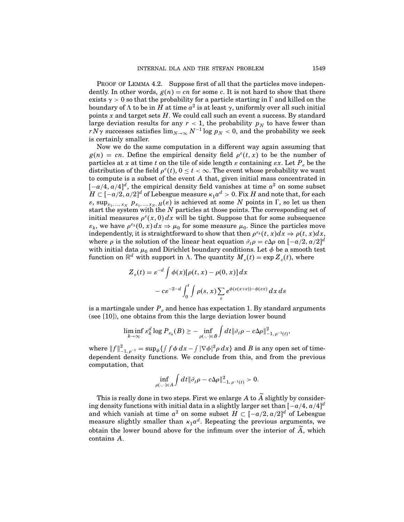PROOF OF LEMMA 4.2. Suppose first of all that the particles move independently. In other words,  $g(n) = cn$  for some c. It is not hard to show that there exists  $\gamma > 0$  so that the probability for a particle starting in  $\Gamma$  and killed on the boundary of  $\Lambda$  to be in H at time  $a^2$  is at least  $\gamma$ , uniformly over all such initial points  $x$  and target sets  $H$ . We could call such an event a success. By standard large deviation results for any  $r < 1$ , the probability  $p_N$  to have fewer than  $rN\gamma$  successes satisfies  $\lim_{N\to\infty} N^{-1}\log p_N < 0$ , and the probability we seek is certainly smaller.

Now we do the same computation in a different way again assuming that  $g(n) = cn$ . Define the empirical density field  $\rho^{\varepsilon}(t, x)$  to be the number of particles at x at time t on the tile of side length  $\varepsilon$  containing  $\varepsilon x$ . Let  $P_{\varepsilon}$  be the distribution of the field  $\rho^{\varepsilon}(t)$ ,  $0 \leq t < \infty$ . The event whose probability we want to compute is a subset of the event A that, given initial mass concentrated in  $[-a/4, a/4]^d$ , the empirical density field vanishes at time  $a^2$  on some subset  $H \subset [-a/2, a/2]^d$  of Lebesgue measure  $\kappa_1 a^d > 0$ . Fix H and note that, for each  $\varepsilon$ , sup<sub>x<sub>1</sub>, ..., x<sub>N</sub>  $p_{x_1,...,x_N,H}(\varepsilon)$  is achieved at some N points in  $\Gamma$ , so let us then</sub> start the system with the  $N$  particles at those points. The corresponding set of initial measures  $\rho^s(x,0) dx$  will be tight. Suppose that for some subsequence  $\varepsilon_k$ , we have  $\rho^{\varepsilon_k}(0, x) dx \Rightarrow \mu_0$  for some measure  $\mu_0$ . Since the particles move independently, it is straightforward to show that then  $\rho^{\varepsilon_k}(t, x)dx \Rightarrow \rho(t, x)dx,$ where  $\rho$  is the solution of the linear heat equation  $\partial_t \rho = c \Delta \rho$  on  $[-a/2, a/2]^d$ with initial data  $\mu_0$  and Dirichlet boundary conditions. Let  $\phi$  be a smooth test function on  $\mathbb{R}^d$  with support in  $\Lambda$ . The quantity  $M_{\varepsilon}(t) = \exp Z_{\varepsilon}(t)$ , where

$$
Z_{\varepsilon}(t) = \varepsilon^{-d} \int \phi(x) [\rho(t, x) - \rho(0, x)] dx
$$

$$
- c \varepsilon^{-2-d} \int_0^t \int \rho(s, x) \sum_{e} e^{\phi(\varepsilon(x+e)) - \phi(\varepsilon x)} dx ds
$$

is a martingale under  $P<sub>s</sub>$  and hence has expectation 1. By standard arguments (see [10]), one obtains from this the large deviation lower bound

$$
\liminf_{k\to\infty}\varepsilon_k^d\log P_{\varepsilon_k}(B)\geq-\inf_{\rho(\cdot,\cdot)\in B}\int dt\|\partial_t\rho-c\Delta\rho\|_{-1,\,\rho^{-1}(t)}^2,
$$

where  $||f||_{-1, \rho^{-1}}^2 = \sup_{\phi} \{ \int f \phi \, dx - \int |\nabla \phi|^2 \rho \, dx \}$  and B is any open set of timedependent density functions. We conclude from this, and from the previous computation, that

$$
\inf_{\rho(\cdot,\cdot)\in A}\int dt\|\partial_t\rho-c\Delta\rho\|_{-1,\,\rho^{-1}(t)}^2>0.
$$

This is really done in two steps. First we enlarge A to A slightly by considering density functions with initial data in a slightly larger set than  $[-a/4, a/4]^d$ and which vanish at time  $a^2$  on some subset  $H \subset [-a/2, a/2]^d$  of Lebesgue measure slightly smaller than  $\kappa_1 a^d$ . Repeating the previous arguments, we obtain the lower bound above for the infimum over the interior of  $\widetilde{A}$ , which contains A.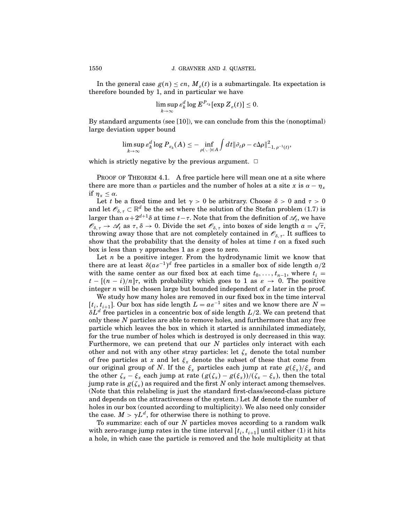In the general case  $g(n) \leq cn$ ,  $M_s(t)$  is a submartingale. Its expectation is therefore bounded by 1, and in particular we have

$$
\limsup_{k\to\infty} \varepsilon_k^d \log E^{P_{\varepsilon_k}}[\exp Z_{\varepsilon}(t)] \leq 0.
$$

By standard arguments (see [10]), we can conclude from this the (nonoptimal) large deviation upper bound

$$
\limsup_{k\to\infty} \varepsilon_k^d\log P_{\varepsilon_k}(A)\leq -\inf_{\rho(\cdot,\cdot)\in A}\int dt\|\partial_t\rho-c\Delta\rho\|_{-1,\,\rho^{-1}(t)}^2,
$$

which is strictly negative by the previous argument.  $\Box$ 

PROOF OF THEOREM 4.1. A free particle here will mean one at a site where there are more than  $\alpha$  particles and the number of holes at a site x is  $\alpha - \eta_x$ if  $\eta_x \leq \alpha$ .

Let t be a fixed time and let  $\gamma > 0$  be arbitrary. Choose  $\delta > 0$  and  $\tau > 0$ and let  $\mathscr{O}_{\delta, \tau} \subset \mathbb{R}^d$  be the set where the solution of the Stefan problem (1.7) is larger than  $\alpha+2^{d+1}\delta$  at time  $t-\tau$ . Note that from the definition of  $\mathscr{A}_t$ , we have  $\mathscr{O}_{\delta,\tau} \to \mathscr{A}_t$  as  $\tau, \delta \to 0$ . Divide the set  $\mathscr{O}_{\delta,\tau}$  into boxes of side length  $a = \sqrt{\tau}$ , throwing away those that are not completely contained in  $\mathscr{O}_{\delta, \tau}$ . It suffices to show that the probability that the density of holes at time  $t$  on a fixed such box is less than  $\gamma$  approaches 1 as  $\varepsilon$  goes to zero.

Let  $n$  be a positive integer. From the hydrodynamic limit we know that there are at least  $\delta(a\varepsilon^{-1})^d$  free particles in a smaller box of side length  $a/2$ with the same center as our fixed box at each time  $t_0, \ldots, t_{n-1}$ , where  $t_i =$  $t - [(n - i)/n]\tau$ , with probability which goes to 1 as  $\varepsilon \to 0$ . The positive integer n will be chosen large but bounded independent of  $\varepsilon$  later in the proof.

We study how many holes are removed in our fixed box in the time interval  $[t_i, t_{i+1}]$ . Our box has side length  $L = a\varepsilon^{-1}$  sites and we know there are  $N =$  $\delta L^d$  free particles in a concentric box of side length  $L/2$ . We can pretend that only these  $N$  particles are able to remove holes, and furthermore that any free particle which leaves the box in which it started is annihilated immediately, for the true number of holes which is destroyed is only decreased in this way. Furthermore, we can pretend that our  $N$  particles only interact with each other and not with any other stray particles: let  $\zeta_x$  denote the total number of free particles at x and let  $\xi_x$  denote the subset of these that come from our original group of N. If the  $\xi_x$  particles each jump at rate  $g(\xi_x)/\xi_x$  and the other  $\zeta_x - \xi_x$  each jump at rate  $(g(\zeta_x) - g(\xi_x))/(\zeta_x - \xi_x)$ , then the total jump rate is  $g(\zeta_x)$  as required and the first N only interact among themselves. (Note that this relabeling is just the standard first-class/second-class picture and depends on the attractiveness of the system.) Let  $M$  denote the number of holes in our box (counted according to multiplicity). We also need only consider the case.  $M > \gamma L^d$ , for otherwise there is nothing to prove.

To summarize: each of our  $N$  particles moves according to a random walk with zero-range jump rates in the time interval  $[t_i, t_{i+1}]$  until either (1) it hits a hole, in which case the particle is removed and the hole multiplicity at that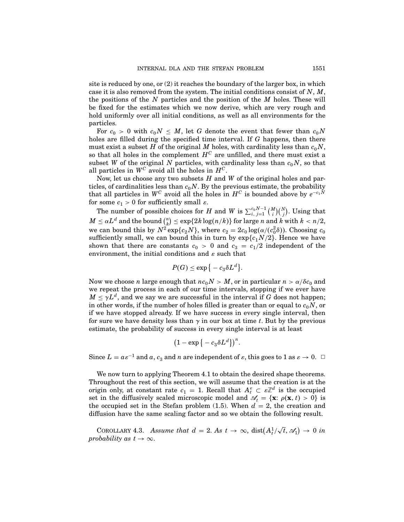site is reduced by one, or  $(2)$  it reaches the boundary of the larger box, in which case it is also removed from the system. The initial conditions consist of  $N, M$ , the positions of the  $N$  particles and the position of the  $M$  holes. These will be fixed for the estimates which we now derive, which are very rough and hold uniformly over all initial conditions, as well as all environments for the particles.

For  $c_0 > 0$  with  $c_0 N \leq M$ , let G denote the event that fewer than  $c_0 N$ holes are filled during the specified time interval. If G happens, then there must exist a subset H of the original M holes, with cardinality less than  $c_0N$ , so that all holes in the complement  $H^C$  are unfilled, and there must exist a subset W of the original N particles, with cardinality less than  $c_0N$ , so that all particles in  $W^C$  avoid all the holes in  $H^C$ .

Now, let us choose any two subsets  $H$  and  $W$  of the original holes and particles, of cardinalities less than  $c_0N$ . By the previous estimate, the probability that all particles in  $W^C$  avoid all the holes in  $H^C$  is bounded above by  $e^{-c_1N}$ for some  $c_1 > 0$  for sufficiently small  $\varepsilon$ .

The number of possible choices for H and W is  $\sum_{i, j=1}^{c_0 N-1} \binom{M}{i}$  $_{i}^{M})({}_{j}^{N}$  $_{j}^{N}).$  Using that  $M \leq \alpha L^d$  and the bound  $\binom{n}{k}$  $\mathbb{R}^n_k \leq \exp\{2k\log(n/k)\}\text{ for large }n \text{ and } k \text{ with } k < n/2,$ we can bound this by  $N^2 \exp\{c_2 N\}$ , where  $c_2 = 2c_0 \log(\alpha/(c_0^2 \delta))$ . Choosing  $c_0$ sufficiently small, we can bound this in turn by  $\exp\{c_1N/2\}$ . Hence we have shown that there are constants  $c_0 > 0$  and  $c_3 = c_1/2$  independent of the environment, the initial conditions and  $\varepsilon$  such that

$$
P(G) \le \exp\big\{-c_3\delta L^d\big\}.
$$

Now we choose *n* large enough that  $nc_0N > M$ , or in particular  $n > \alpha/\delta c_0$  and we repeat the process in each of our time intervals, stopping if we ever have  $M \leq \gamma L^d$ , and we say we are successful in the interval if G does not happen; in other words, if the number of holes filled is greater than or equal to  $c_0N$ , or if we have stopped already. If we have success in every single interval, then for sure we have density less than  $\gamma$  in our box at time t. But by the previous estimate, the probability of success in every single interval is at least

$$
(1-\exp\big\{-c_3\delta L^d\big\})^n.
$$

Since  $L = a \varepsilon^{-1}$  and  $a, c_3$  and n are independent of  $\varepsilon$ , this goes to 1 as  $\varepsilon \to 0$ .  $\Box$ 

We now turn to applying Theorem 4.1 to obtain the desired shape theorems. Throughout the rest of this section, we will assume that the creation is at the origin only, at constant rate  $c_1 = 1$ . Recall that  $A_t^{\varepsilon} \subset \varepsilon \mathbb{Z}^d$  is the occupied set in the diffusively scaled microscopic model and  $\mathscr{A}_t = {\mathbf{x} : \rho(\mathbf{x}, t) > 0}$  is the occupied set in the Stefan problem (1.5). When  $d = 2$ , the creation and diffusion have the same scaling factor and so we obtain the following result.

COROLLARY 4.3. Assume that  $d = 2$ . As  $t \to \infty$ , dist $(A_t^1/\sqrt{t}, \mathcal{A}_1) \to 0$  in probability as  $t \to \infty$ .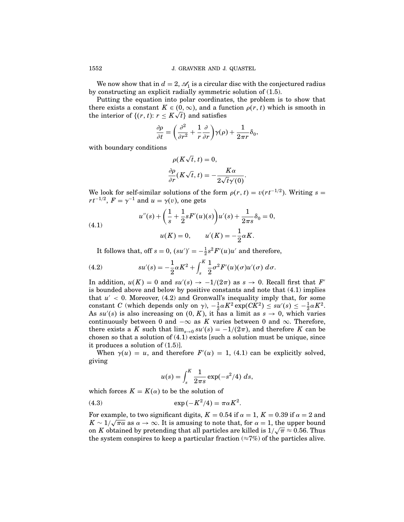We now show that in  $d = 2$ ,  $\mathcal{A}_1$  is a circular disc with the conjectured radius by constructing an explicit radially symmetric solution of (1.5).

Putting the equation into polar coordinates, the problem is to show that there exists a constant  $K \in (0, \infty)$ , and a function  $\rho(r, t)$  which is smooth in the interior of  $\{(r, t): r \leq K\sqrt{t}\}$  and satisfies

$$
\frac{\partial \rho}{\partial t} = \left(\frac{\partial^2}{\partial r^2} + \frac{1}{r}\frac{\partial}{\partial r}\right)\gamma(\rho) + \frac{1}{2\pi r}\delta_0,
$$

with boundary conditions

$$
\rho(K\sqrt{t}, t) = 0,
$$
  

$$
\frac{\partial \rho}{\partial r}(K\sqrt{t}, t) = -\frac{K\alpha}{2\sqrt{t}\gamma'(0)}.
$$

We look for self-similar solutions of the form  $\rho(r, t) = v(rt^{-1/2})$ . Writing  $s =$  $rt^{-1/2}$ ,  $F = \gamma^{-1}$  and  $u = \gamma(v)$ , one gets

(4.1) 
$$
u''(s) + \left(\frac{1}{s} + \frac{1}{2}sF'(u)(s)\right)u'(s) + \frac{1}{2\pi s}\delta_0 = 0,
$$

$$
u(K) = 0, \qquad u'(K) = -\frac{1}{2}\alpha K.
$$

It follows that, off  $s = 0$ ,  $(su')' = -\frac{1}{2}s^2F'(u)u'$  and therefore,

(4.2) 
$$
su'(s) = -\frac{1}{2}\alpha K^2 + \int_s^K \frac{1}{2}\sigma^2 F'(u)(\sigma)u'(\sigma) d\sigma.
$$

In addition,  $u(K) = 0$  and  $su'(s) \to -1/(2\pi)$  as  $s \to 0$ . Recall first that  $F'$ is bounded above and below by positive constants and note that (4.1) implies that  $u' < 0$ . Moreover, (4.2) and Gronwall's inequality imply that, for some constant C (which depends only on  $\gamma$ ),  $-\frac{1}{2}\alpha K^2 \exp(CK^2) \leq su'(s) \leq -\frac{1}{2}\alpha K^2$ . As  $su'(s)$  is also increasing on  $(0, K)$ , it has a limit as  $s \to 0$ , which varies continuously between 0 and  $-\infty$  as K varies between 0 and  $\infty$ . Therefore, there exists a K such that  $\lim_{s\to 0} su'(s) = -1/(2\pi)$ , and therefore K can be chosen so that a solution of  $(4.1)$  exists [such a solution must be unique, since it produces a solution of (1.5)].

When  $\gamma(u) = u$ , and therefore  $F'(u) = 1$ , (4.1) can be explicitly solved, giving

$$
u(s) = \int_{s}^{K} \frac{1}{2\pi s} \exp(-s^2/4) \ ds,
$$

which forces  $K = K(\alpha)$  to be the solution of

$$
(4.3) \qquad \qquad \exp\left(-K^2/4\right) = \pi\alpha K^2.
$$

For example, to two significant digits,  $K = 0.54$  if  $\alpha = 1$ ,  $K = 0.39$  if  $\alpha = 2$  and  $K \sim 1/\sqrt{\pi \alpha}$  as  $\alpha \to \infty$ . It is amusing to note that, for  $\alpha = 1$ , the upper bound on K obtained by pretending that all particles are killed is  $1/\sqrt{\pi} \approx 0.56$ . Thus the system conspires to keep a particular fraction ( $\approx 7\%$ ) of the particles alive.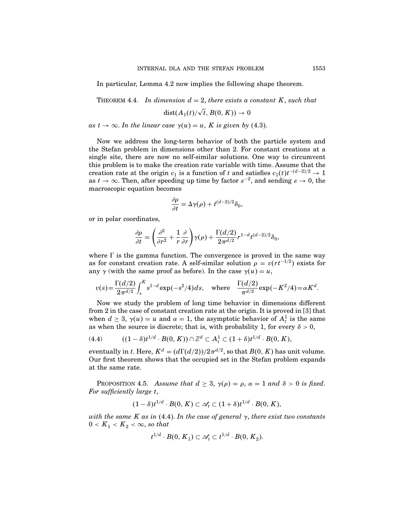In particular, Lemma 4.2 now implies the following shape theorem.

THEOREM 4.4. In dimension  $d = 2$ , there exists a constant K, such that

$$
\mathop\mathrm{dist}(A_1(t)/\sqrt{t},B(0,K))\to 0
$$

as  $t \to \infty$ . In the linear case  $\gamma(u) = u$ , K is given by (4.3).

Now we address the long-term behavior of both the particle system and the Stefan problem in dimensions other than 2. For constant creations at a single site, there are now no self-similar solutions. One way to circumvent this problem is to make the creation rate variable with time. Assume that the creation rate at the origin  $c_1$  is a function of t and satisfies  $c_1(t)t^{-(d-2)/2} \rightarrow 1$ as  $t \to \infty$ . Then, after speeding up time by factor  $\varepsilon^{-2}$ , and sending  $\varepsilon \to 0$ , the macroscopic equation becomes

$$
\frac{\partial \rho}{\partial t} = \Delta \gamma(\rho) + t^{(d-2)/2} \delta_0,
$$

or in polar coordinates,

$$
\frac{\partial\rho}{\partial t}=\Bigg(\frac{\partial^2}{\partial r^2}+\frac{1}{r}\frac{\partial}{\partial r}\Bigg)\gamma(\rho)+\frac{\Gamma(d/2)}{2\pi^{d/2}}r^{1-d}t^{(d-2)/2}\delta_0,
$$

where  $\Gamma$  is the gamma function. The convergence is proved in the same way as for constant creation rate. A self-similar solution  $\rho = v(rt^{-1/2})$  exists for any  $\gamma$  (with the same proof as before). In the case  $\gamma(u) = u$ ,

$$
v(s) = \frac{\Gamma(d/2)}{2\pi^{d/2}} \int_s^K s^{1-d} \exp(-s^2/4) ds, \text{ where } \frac{\Gamma(d/2)}{\pi^{d/2}} \exp(-K^2/4) = \alpha K^d.
$$

Now we study the problem of long time behavior in dimensions different from 2 in the case of constant creation rate at the origin. It is proved in [3] that when  $d \geq 3$ ,  $\gamma(u) = u$  and  $\alpha = 1$ , the asymptotic behavior of  $A_t^1$  is the same as when the source is discrete; that is, with probability 1, for every  $\delta > 0$ ,

(4.4) 
$$
((1 - \delta)t^{1/d} \cdot B(0, K)) \cap \mathbb{Z}^d \subset A_t^1 \subset (1 + \delta)t^{1/d} \cdot B(0, K),
$$

eventually in t. Here,  $K^d = (d\Gamma(d/2))/2\pi^{d/2}$ , so that  $B(0, K)$  has unit volume. Our first theorem shows that the occupied set in the Stefan problem expands at the same rate.

PROPOSITION 4.5. Assume that  $d \geq 3$ ,  $\gamma(\rho) = \rho$ ,  $\alpha = 1$  and  $\delta > 0$  is fixed. For sufficiently large t,

$$
(1-\delta)t^{1/d}\cdot B(0,K)\subset \mathscr{A}_t\subset (1+\delta)t^{1/d}\cdot B(0,K),
$$

with the same K as in (4.4). In the case of general  $\gamma$ , there exist two constants  $0 < K_1 < K_2 < \infty$ , so that

$$
t^{1/d} \cdot B(0, K_1) \subset \mathscr{A}_t \subset t^{1/d} \cdot B(0, K_2).
$$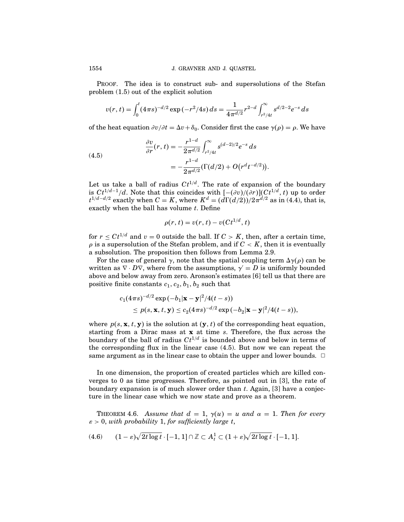PROOF. The idea is to construct sub- and supersolutions of the Stefan problem (1.5) out of the explicit solution

$$
v(r,t) = \int_0^t (4\pi s)^{-d/2} \exp(-r^2/4s) \, ds = \frac{1}{4\pi^{d/2}} r^{2-d} \int_{r^2/4t}^\infty s^{d/2-2} e^{-s} \, ds
$$

of the heat equation  $\partial v/\partial t = \Delta v + \delta_0$ . Consider first the case  $\gamma(\rho) = \rho$ . We have

(4.5)  

$$
\frac{\partial v}{\partial r}(r,t) = -\frac{r^{1-d}}{2\pi^{d/2}} \int_{r^2/4t}^{\infty} s^{(d-2)/2} e^{-s} ds
$$

$$
= -\frac{r^{1-d}}{2\pi^{d/2}} (\Gamma(d/2) + O(r^d t^{-d/2})).
$$

Let us take a ball of radius  $Ct^{1/d}$ . The rate of expansion of the boundary is  $Ct^{1/d-1}/d$ . Note that this coincides with  $[-(\partial v)/(\partial r)](Ct^{1/d}, t)$  up to order  $t^{1/(d-d/2)}$  exactly when  $C = K$ , where  $K^d = (d\Gamma(d/2)) (2\pi^d)^2$  as in (4.4), that is, exactly when the ball has volume  $t$ . Define

$$
\rho(r,t) = v(r,t) - v(Ct^{1/d},t)
$$

for  $r \leq Ct^{1/d}$  and  $v = 0$  outside the ball. If  $C > K$ , then, after a certain time,  $\rho$  is a supersolution of the Stefan problem, and if  $C < K$ , then it is eventually a subsolution. The proposition then follows from Lemma 2.9.

For the case of general  $\gamma$ , note that the spatial coupling term  $\Delta\gamma(\rho)$  can be written as  $\nabla \cdot D\nabla$ , where from the assumptions,  $\gamma' = D$  is uniformly bounded above and below away from zero. Aronson's estimates [6] tell us that there are positive finite constants  $c_1, c_2, b_1, b_2$  such that

$$
c_1(4\pi s)^{-d/2} \exp(-b_1|\mathbf{x}-\mathbf{y}|^2/4(t-s))
$$
  
\$\leq p(s, \mathbf{x}, t, \mathbf{y}) \leq c\_2(4\pi s)^{-d/2} \exp(-b\_2|\mathbf{x}-\mathbf{y}|^2/4(t-s)),

where  $p(s, \mathbf{x}, t, \mathbf{y})$  is the solution at  $(\mathbf{y}, t)$  of the corresponding heat equation, starting from a Dirac mass at  $x$  at time s. Therefore, the flux across the boundary of the ball of radius  $Ct^{1/d}$  is bounded above and below in terms of the corresponding flux in the linear case (4.5). But now we can repeat the same argument as in the linear case to obtain the upper and lower bounds.  $\Box$ 

In one dimension, the proportion of created particles which are killed converges to 0 as time progresses. Therefore, as pointed out in [3], the rate of boundary expansion is of much slower order than  $t$ . Again, [3] have a conjecture in the linear case which we now state and prove as a theorem.

THEOREM 4.6. Assume that  $d = 1$ ,  $\gamma(u) = u$  and  $\alpha = 1$ . Then for every  $\varepsilon > 0$ , with probability 1, for sufficiently large t,

$$
(4.6) \qquad (1-\varepsilon)\sqrt{2t\log t}\cdot [-1,1]\cap \mathbb{Z}\subset A_t^1\subset (1+\varepsilon)\sqrt{2t\log t}\cdot [-1,1].
$$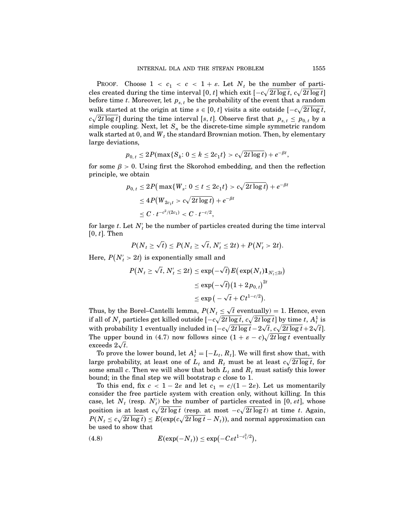PROOF. Choose  $1 < c_1 < c < 1 + \varepsilon$ . Let  $N_t$  be the number of particles created during the time interval  $[0, t]$  which exit  $[-c\sqrt{2t \log t}, c\sqrt{2t \log t}]$ before time t. Moreover, let  $p_{s,t}$  be the probability of the event that a random walk started at the origin at time  $s \in [0, t]$  visits a site outside  $[-c\sqrt{2t \log t},$  $c\sqrt{2t \log t}$  during the time interval [s, t]. Observe first that  $p_{s,t} \le p_{0,t}$  by a simple coupling. Next, let  $S_n$  be the discrete-time simple symmetric random walk started at 0, and  $W_t$  the standard Brownian motion. Then, by elementary large deviations,

$$
p_{0, t} \le 2P(\max\{S_k: 0 \le k \le 2c_1t\} > c\sqrt{2t\log t}) + e^{-\beta t},
$$

for some  $\beta > 0$ . Using first the Skorohod embedding, and then the reflection principle, we obtain

$$
\begin{aligned} p_{0,\,t} &\leq 2P\big(\max\{W_s\hbox{:}\ 0\leq t\leq 2c_1t\}>c\sqrt{2t\log t}\big)+e^{-\beta t}\\ &\leq 4P\big(W_{2c_1t}>c\sqrt{2t\log t}\big)+e^{-\beta t}\\ &\leq C\cdot t^{-c^2/(2c_1)}
$$

for large  $t$ . Let  $N_t$  be the number of particles created during the time interval  $[0, t]$ . Then

$$
P(N_t \ge \sqrt{t}) \le P(N_t \ge \sqrt{t}, N_t' \le 2t) + P(N_t' > 2t).
$$

Here,  $P(N_t' > 2t)$  is exponentially small and

$$
P(N_t \ge \sqrt{t}, N'_t \le 2t) \le \exp(-\sqrt{t}) E\left(\exp(N_t)\mathbf{1}_{N'_t \le 2t}\right)
$$
  

$$
\le \exp(-\sqrt{t})(1 + 2p_{0,t})^{2t}
$$
  

$$
\le \exp(-\sqrt{t} + Ct^{1-c/2}).
$$

Thus, by the Borel–Cantelli lemma,  $P(N_t \leq \sqrt{t}$  eventually) = 1. Hence, even if all of  $N_t$  particles get killed outside  $[-c\sqrt{2t\log t}, c\sqrt{2t\log t}]$  by time  $t$ ,  $A_t^1$  is with probability 1 eventually included in  $\left[-c\sqrt{2t\log t}-2\sqrt{t},c\sqrt{2t\log t}+2\sqrt{t}\right]$ . The upper bound in (4.7) now follows since  $(1 + \varepsilon - c)\sqrt{2t \log t}$  eventually exceeds  $2\sqrt{t}$ .

To prove the lower bound, let  $A_t^1 = [-L_t, R_t]$ . We will first show that, with large probability, at least one of  $L_t$  and  $R_t$  must be at least  $c\sqrt{2t\log t}$ , for some small c. Then we will show that both  $L_t$  and  $R_t$  must satisfy this lower bound; in the final step we will bootstrap c close to 1.

To this end, fix  $c < 1-2\varepsilon$  and let  $c_1 = c/(1-2\varepsilon)$ . Let us momentarily consider the free particle system with creation only, without killing. In this case, let  $N_t$  (resp.  $N_t$ ) be the number of particles created in [0,  $\epsilon t$ ], whose position is at least  $c\sqrt{2t \log t}$  (resp. at most  $-c\sqrt{2t \log t}$ ) at time t. Again,  $P(N_t \leq c\sqrt{2t\log t}) \leq E(\exp(c\sqrt{2t\log t} - N_t))$ , and normal approximation can be used to show that

(4.8) 
$$
E(\exp(-N_t)) \leq \exp(-C\varepsilon t^{1-c_1^2/2}),
$$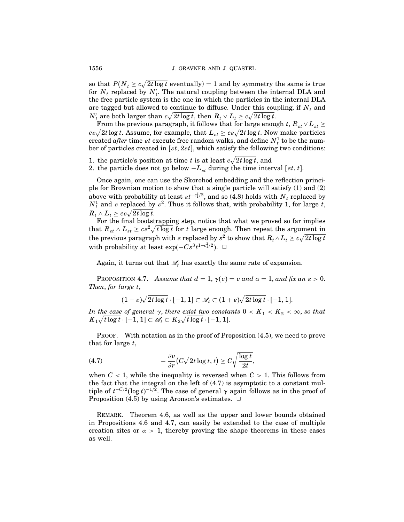so that  $P(N_t \ge c\sqrt{2t \log t}$  eventually) = 1 and by symmetry the same is true for  $N_t$  replaced by  $N_t'$ . The natural coupling between the internal DLA and the free particle system is the one in which the particles in the internal DLA are tagged but allowed to continue to diffuse. Under this coupling, if  $N_t$  and  $N'_t$  are both larger than  $c\sqrt{2t\log t}$ , then  $R_t \vee L_t \geq c\sqrt{2t\log t}$ .

From the previous paragraph, it follows that for large enough t,  $R_{st} \vee L_{st} \geq$  $c\varepsilon\sqrt{2t\log t}$ . Assume, for example, that  $L_{\varepsilon t} \geq c\varepsilon\sqrt{2t\log t}$ . Now make particles created *after* time *st* execute free random walks, and define  $N_t^1$  to be the number of particles created in  $[\varepsilon t, 2\varepsilon t]$ , which satisfy the following two conditions:

- 1. the particle's position at time t is at least  $c\sqrt{2t \log t}$ , and
- 2. the particle does not go below  $-L_{\varepsilon t}$  during the time interval [ $\varepsilon t$ ,  $t$ ].

Once again, one can use the Skorohod embedding and the reflection principle for Brownian motion to show that a single particle will satisfy (1) and (2) above with probability at least  $\varepsilon t^{-c_1^2/2}$ , and so (4.8) holds with  $N_t$  replaced by  $N_t^1$  and  $\varepsilon$  replaced by  $\varepsilon^2$ . Thus it follows that, with probability 1, for large t,  $R_t \wedge L_t \geq c\varepsilon \sqrt{2t \log t}.$ 

For the final bootstrapping step, notice that what we proved so far implies that  $R_{\text{st}} \wedge L_{\text{st}} \geq c \varepsilon^2 \sqrt{t \log t}$  for t large enough. Then repeat the argument in the previous paragraph with  $\varepsilon$  replaced by  $\varepsilon^2$  to show that  $R_t \wedge L_t \geq c \sqrt{2t \log t}$ with probability at least  $\exp(-C\varepsilon^3 t^{1-c_1^2/2})$ . □

Again, it turns out that  $\mathscr{A}_t$  has exactly the same rate of expansion.

PROPOSITION 4.7. Assume that  $d = 1$ ,  $\gamma(v) = v$  and  $\alpha = 1$ , and fix an  $\varepsilon > 0$ . Then, for large t,

 $(1-\varepsilon)\sqrt{2t\log t}\cdot [-1,1]\subset \mathscr{A}_t\subset (1+\varepsilon)\sqrt{2t\log t}\cdot [-1,1].$ 

In the case of general  $\gamma$ , there exist two constants  $0 < K_1 < K_2 < \infty$ , so that  $K_1 \sqrt{t \log t} \cdot [-1,1] \subset \mathscr{A}_t \subset K_2 \sqrt{t \log t} \cdot [-1,1].$ 

PROOF. With notation as in the proof of Proposition  $(4.5)$ , we need to prove that for large  $t$ ,

(4.7) 
$$
-\frac{\partial v}{\partial r}(C\sqrt{2t\log t},t)\geq C\sqrt{\frac{\log t}{2t}},
$$

when  $C < 1$ , while the inequality is reversed when  $C > 1$ . This follows from the fact that the integral on the left of (4.7) is asymptotic to a constant multiple of  $t^{-C/2}(\log t)^{-1/2}$ . The case of general  $\gamma$  again follows as in the proof of Proposition (4.5) by using Aronson's estimates.  $\Box$ 

Remark. Theorem 4.6, as well as the upper and lower bounds obtained in Propositions 4.6 and 4.7, can easily be extended to the case of multiple creation sites or  $\alpha > 1$ , thereby proving the shape theorems in these cases as well.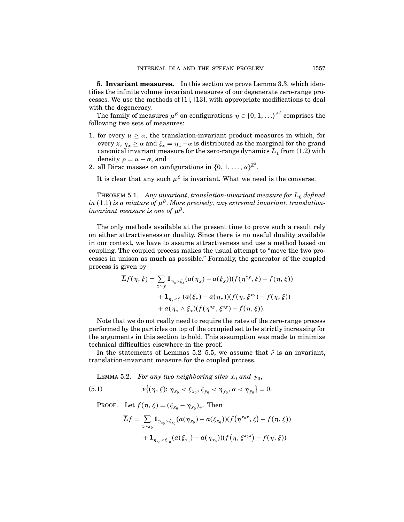5. Invariant measures. In this section we prove Lemma 3.3, which identifies the infinite volume invariant measures of our degenerate zero-range processes. We use the methods of [1], [13], with appropriate modifications to deal with the degeneracy.

The family of measures  $\mu^{\beta}$  on configurations  $\eta \in \{0, 1, \ldots\}^{\mathbb{Z}^d}$  comprises the following two sets of measures:

- 1. for every  $u \ge \alpha$ , the translation-invariant product measures in which, for every x,  $\eta_x \ge \alpha$  and  $\zeta_x = \eta_x - \alpha$  is distributed as the marginal for the grand canonical invariant measure for the zero-range dynamics  $L_1$  from (1.2) with density  $\rho = u - \alpha$ , and
- 2. all Dirac masses on configurations in  $\{0, 1, ..., \alpha\}^{\mathbb{Z}^d}$ .

It is clear that any such  $\mu^{\beta}$  is invariant. What we need is the converse.

THEOREM 5.1. Any invariant, translation-invariant measure for  $L_0$  defined in (1.1) is a mixture of  $\mu^{\beta}$ . More precisely, any extremal invariant, translationinvariant measure is one of  $\mu^{\beta}$ .

The only methods available at the present time to prove such a result rely on either attractiveness.or duality. Since there is no useful duality available in our context, we have to assume attractiveness and use a method based on coupling. The coupled process makes the usual attempt to "move the two processes in unison as much as possible." Formally, the generator of the coupled process is given by

$$
\begin{aligned} \overline{L}f(\eta,\xi) &= \sum_{x \sim y} \mathbf{1}_{\eta_x > \xi_x} (a(\eta_x) - a(\xi_x)) (f(\eta^{xy},\xi) - f(\eta,\xi)) \\ &+ \mathbf{1}_{\eta_x < \xi_x} (a(\xi_x) - a(\eta_x)) (f(\eta,\xi^{xy}) - f(\eta,\xi)) \\ &+ a(\eta_x \wedge \xi_x) (f(\eta^{xy},\xi^{xy}) - f(\eta,\xi)). \end{aligned}
$$

Note that we do not really need to require the rates of the zero-range process performed by the particles on top of the occupied set to be strictly increasing for the arguments in this section to hold. This assumption was made to minimize technical difficulties elsewhere in the proof.

In the statements of Lemmas 5.2–5.5, we assume that  $\bar{\nu}$  is an invariant, translation-invariant measure for the coupled process.

LEMMA 5.2. For any two neighboring sites  $x_0$  and  $y_0$ ,

(5.1) 
$$
\bar{\nu}\big\{(\eta,\xi)\colon \eta_{x_0} < \xi_{x_0}, \xi_{y_0} < \eta_{y_0}, \alpha < \eta_{y_0}\big\} = 0.
$$

PROOF. Let  $f(\eta, \xi) = (\xi_{x_0} - \eta_{x_0})_+$ . Then

$$
\overline{L}f = \sum_{x \sim x_0} \mathbf{1}_{\eta_{x_0} > \xi_{x_0}} (a(\eta_{x_0}) - a(\xi_{x_0})) (f(\eta^{x_0 x}, \xi) - f(\eta, \xi))
$$
  
+ 
$$
\mathbf{1}_{\eta_{x_0} < \xi_{x_0}} (a(\xi_{x_0}) - a(\eta_{x_0})) (f(\eta, \xi^{x_0 x}) - f(\eta, \xi))
$$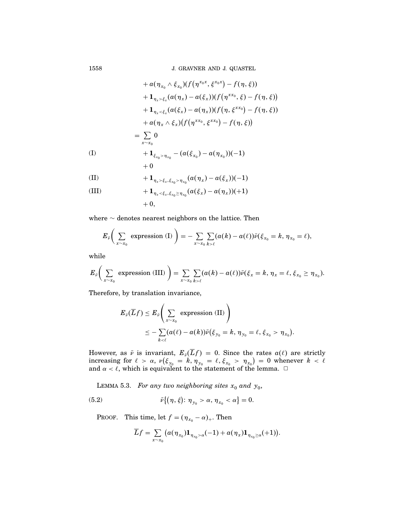1558 J. GRAVNER AND J. QUASTEL

$$
+ a(\eta_{x_0} \wedge \xi_{x_0})(f(\eta^{x_0x}, \xi^{x_0x}) - f(\eta, \xi))
$$
  
\n
$$
+ \mathbf{1}_{\eta_x > \xi_x}(a(\eta_x) - a(\xi_x))(f(\eta^{xx_0}, \xi) - f(\eta, \xi))
$$
  
\n
$$
+ \mathbf{1}_{\eta_x < \xi_x}(a(\xi_x) - a(\eta_x))(f(\eta, \xi^{xx_0}) - f(\eta, \xi))
$$
  
\n
$$
+ a(\eta_x \wedge \xi_x)(f(\eta^{xx_0}, \xi^{xx_0}) - f(\eta, \xi))
$$
  
\n
$$
= \sum_{x \sim x_0} 0
$$
  
\n(I) 
$$
+ \mathbf{1}_{\xi_{x_0} > \eta_{x_0}} - (a(\xi_{x_0}) - a(\eta_{x_0}))(-1)
$$
  
\n
$$
+ 0
$$
  
\n(II) 
$$
+ \mathbf{1}_{\eta_x > \xi_x, \xi_{x_0} > \eta_{x_0}}(a(\eta_x) - a(\xi_x))(-1)
$$
  
\n(III) 
$$
+ \mathbf{1}_{\eta_x < \xi_x, \xi_{x_0} \ge \eta_{x_0}}(a(\xi_x) - a(\eta_x))(+1)
$$
  
\n
$$
+ 0,
$$

where ∼ denotes nearest neighbors on the lattice. Then

$$
E_{\tilde{\nu}}\bigg(\sum_{x\sim x_0}\text{ expression (I)}\bigg)=-\sum_{x\sim x_0}\sum_{k>\ell}(a(k)-a(\ell))\tilde{\nu}(\xi_{x_0}=k,\eta_{x_0}=\ell),
$$

while

$$
E_{\bar{\nu}}\bigg(\sum_{x\sim x_0}\text{ expression (III)}\bigg)=\sum_{x\sim x_0}\sum_{k>\ell}(a(k)-a(\ell))\bar{\nu}(\xi_x=k,\eta_x=\ell,\xi_{x_0}\geq\eta_{x_0}).
$$

Therefore, by translation invariance,

$$
E_{\tilde{\nu}}(\overline{L}f) \leq E_{\tilde{\nu}}\left(\sum_{x \sim x_0} \text{ expression (II)}\right)
$$
  

$$
\leq -\sum_{k \lt c} (a(\ell) - a(k))\tilde{\nu}(\xi_{y_0} = k, \eta_{y_0} = \ell, \xi_{x_0} > \eta_{x_0}).
$$

However, as  $\bar{\nu}$  is invariant,  $E_{\bar{\nu}}(Lf) = 0$ . Since the rates  $a(\ell)$  are strictly increasing for  $\ell > \alpha$ ,  $\nu(\xi_{y_0} = k, \eta_{y_0} = \ell, \xi_{x_0} > \eta_{x_0}) = 0$  whenever  $k < \ell$ and  $\alpha<\ell,$  which is equivalent to the statement of the lemma.  $\Box$ 

LEMMA 5.3. For any two neighboring sites  $x_0$  and  $y_0$ ,

(5.2) 
$$
\bar{\nu}\big\{(\eta,\xi)\colon \eta_{y_0} > \alpha, \eta_{x_0} < \alpha\big\} = 0.
$$

PROOF. This time, let  $f = (\eta_{x_0} - \alpha)_+$ . Then

$$
\overline{L}f=\sum_{x\sim x_0}\big(a(\eta_{x_0})\mathbf{1}_{\eta_{x_0}>\alpha}(-1)+a(\eta_x)\mathbf{1}_{\eta_{x_0}\geq\alpha}(+1)\big).
$$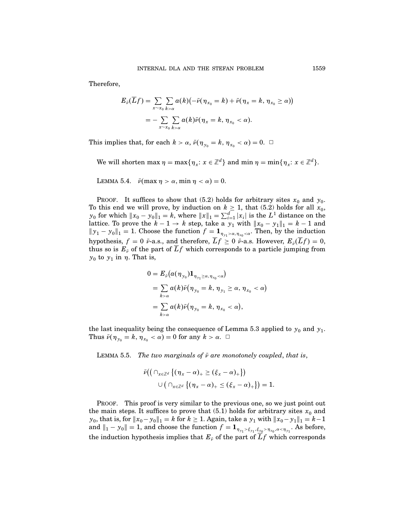Therefore,

$$
E_{\bar{\nu}}(\overline{L}f) = \sum_{x \sim x_0} \sum_{k > \alpha} a(k)(-\bar{\nu}(\eta_{x_0} = k) + \bar{\nu}(\eta_x = k, \eta_{x_0} \ge \alpha))
$$
  
= 
$$
-\sum_{x \sim x_0} \sum_{k > \alpha} a(k)\bar{\nu}(\eta_x = k, \eta_{x_0} < \alpha).
$$

This implies that, for each  $k > \alpha$ ,  $\bar{\nu}(\eta_{y_0} = k, \eta_{x_0} < \alpha) = 0$ .  $\Box$ 

We will shorten max  $\eta = \max\{\eta_x: x \in \mathbb{Z}^d\}$  and  $\min \eta = \min\{\eta_x: x \in \mathbb{Z}^d\}.$ 

LEMMA 5.4.  $\bar{\nu}$ (max  $\eta > \alpha$ , min  $\eta < \alpha$ ) = 0.

PROOF. It suffices to show that (5.2) holds for arbitrary sites  $x_0$  and  $y_0$ . To this end we will prove, by induction on  $k \geq 1$ , that (5.2) holds for all  $x_0$ ,  $y_0$  for which  $||x_0 - y_0||_1 = k$ , where  $||x||_1 = \sum_{i=1}^d |x_i|$  is the  $L^1$  distance on the lattice. To prove the  $k - 1 \rightarrow k$  step, take a  $y_1$  with  $||x_0 - y_1||_1 = k - 1$  and  $||y_1 - y_0||_1 = 1$ . Choose the function  $f = \mathbf{1}_{\eta_{y_1} > \alpha, \eta_{x_0} < \alpha}$ . Then, by the induction hypothesis,  $f = 0$   $\bar{\nu}$ -a.s., and therefore,  $\bar{L}f \geq 0$   $\bar{\nu}$ -a.s. However,  $E_{\bar{\nu}}(\bar{L}f) = 0$ , thus so is  $E_{\bar{v}}$  of the part of  $\bar{L}f$  which corresponds to a particle jumping from  $y_0$  to  $y_1$  in  $\eta$ . That is,

$$
0 = E_{\tilde{\nu}}(\alpha(\eta_{y_0}) \mathbf{1}_{\eta_{y_1} \geq \alpha, \eta_{x_0} < \alpha})
$$
  
= 
$$
\sum_{k > \alpha} \alpha(k) \tilde{\nu}(\eta_{y_0} = k, \eta_{y_1} \geq \alpha, \eta_{x_0} < \alpha)
$$
  
= 
$$
\sum_{k > \alpha} \alpha(k) \tilde{\nu}(\eta_{y_0} = k, \eta_{x_0} < \alpha),
$$

the last inequality being the consequence of Lemma 5.3 applied to  $y_0$  and  $y_1$ . Thus  $\bar{\nu}(\eta_{y_0} = k, \eta_{x_0} < \alpha) = 0$  for any  $k > \alpha$ .  $\Box$ 

LEMMA 5.5. The two marginals of  $\bar{\nu}$  are monotonely coupled, that is,

$$
\bar{\nu}((\cap_{x\in\mathbb{Z}^d}\{(\eta_x-\alpha)_+\geq(\xi_x-\alpha)_+\})\\\cup(\cap_{x\in\mathbb{Z}^d}\{(\eta_x-\alpha)_+\leq(\xi_x-\alpha)_+\})=1.
$$

PROOF. This proof is very similar to the previous one, so we just point out the main steps. It suffices to prove that (5.1) holds for arbitrary sites  $x_0$  and *y*<sub>0</sub>, that is, for  $||x_0-y_0||_1 = k$  for  $k ≥ 1$ . Again, take a *y*<sub>1</sub> with  $||x_0-y_1||_1 = k-1$ and  $||_1 - y_0|| = 1$ , and choose the function  $f = \mathbf{1}_{\eta_{y_1} > \xi_{y_1}, \xi_{x_0} > \eta_{x_0}, \alpha < \eta_{y_1}}$ . As before, the induction hypothesis implies that  $E_{\bar{v}}$  of the part of  $\bar{L}f$  which corresponds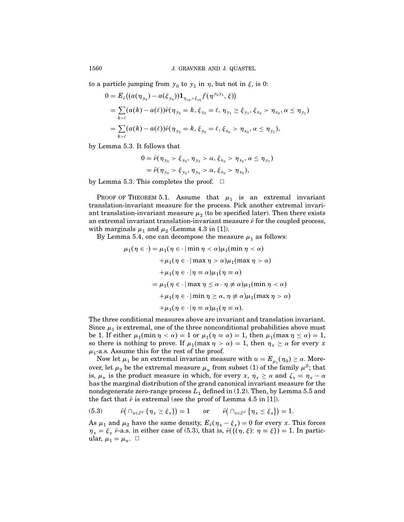to a particle jumping from  $y_0$  to  $y_1$  in  $\eta$ , but not in  $\xi$ , is 0:

$$
0 = E_{\tilde{v}}((a(\eta_{y_0}) - a(\xi_{y_0}))\mathbf{1}_{\eta_{y_0} > \xi_{y_0}}f(\eta^{y_0y_1}, \xi))
$$
  
=  $\sum_{k > \ell} (a(k) - a(\ell))\tilde{v}(\eta_{y_0} = k, \xi_{y_0} = \ell, \eta_{y_1} \ge \xi_{y_1}, \xi_{x_0} > \eta_{x_0}, \alpha \le \eta_{y_1})$   
=  $\sum_{k > \ell} (a(k) - a(\ell))\tilde{v}(\eta_{y_0} = k, \xi_{y_0} = \ell, \xi_{x_0} > \eta_{x_0}, \alpha \le \eta_{y_1}),$ 

by Lemma 5.3. It follows that

$$
0 = \bar{\nu}(\eta_{y_0} > \xi_{y_0}, \eta_{y_0} > \alpha, \xi_{x_0} > \eta_{x_0}, \alpha \leq \eta_{y_1})
$$
  
=  $\bar{\nu}(\eta_{y_0} > \xi_{y_0}, \eta_{y_0} > \alpha, \xi_{x_0} > \eta_{x_0}),$ 

by Lemma 5.3. This completes the proof.  $\Box$ 

PROOF OF THEOREM 5.1. Assume that  $\mu_1$  is an extremal invariant translation-invariant measure for the process. Pick another extremal invariant translation-invariant measure  $\mu_2$  (to be specified later). Then there exists an extremal invariant translation-invariant measure  $\bar{\nu}$  for the coupled process, with marginals  $\mu_1$  and  $\mu_2$  (Lemma 4.3 in [1]).

By Lemma 5.4, one can decompose the measure  $\mu_1$  as follows:

$$
\mu_1(\eta \in \cdot) = \mu_1(\eta \in \cdot | \min \eta < \alpha) \mu_1(\min \eta < \alpha)
$$
\n
$$
+ \mu_1(\eta \in \cdot | \max \eta > \alpha) \mu_1(\max \eta > \alpha)
$$
\n
$$
+ \mu_1(\eta \in \cdot | \eta \equiv \alpha) \mu_1(\eta \equiv \alpha)
$$
\n
$$
= \mu_1(\eta \in \cdot | \max \eta \leq \alpha \cdot \eta \neq \alpha) \mu_1(\min \eta < \alpha)
$$
\n
$$
+ \mu_1(\eta \in \cdot | \min \eta \geq \alpha, \eta \neq \alpha) \mu_1(\max \eta > \alpha)
$$
\n
$$
+ \mu_1(\eta \in \cdot | \eta \equiv \alpha) \mu_1(\eta \equiv \alpha).
$$

The three conditional measures above are invariant and translation invariant. Since  $\mu_1$  is extremal, one of the three nonconditional probabilities above must be 1. If either  $\mu_1(\min \eta < \alpha) = 1$  or  $\mu_1(\eta \equiv \alpha) = 1$ , then  $\mu_1(\max \eta \le \alpha) = 1$ , so there is nothing to prove. If  $\mu_1(\max \eta > \alpha) = 1$ , then  $\eta_x \geq \alpha$  for every x  $\mu_1$ -a.s. Assume this for the rest of the proof.

Now let  $\mu_1$  be an extremal invariant measure with  $u = E_{\mu_1}(\eta_0) \geq \alpha$ . Moreover, let  $\mu_2$  be the extremal measure  $\mu_u$  from subset (1) of the family  $\mu^{\beta}$ ; that is,  $\mu_u$  is the product measure in which, for every x,  $\eta_x \ge \alpha$  and  $\zeta_x = \eta_x - \alpha$ has the marginal distribution of the grand canonical invariant measure for the nondegenerate zero-range process  $L_1$  defined in (1.2). Then, by Lemma 5.5 and the fact that  $\bar{\nu}$  is extremal (see the proof of Lemma 4.5 in [1]).

(5.3) 
$$
\bar{\nu}(\bigcap_{x \in \mathbb{Z}^d} \{\eta_x \ge \xi_x\}) = 1
$$
 or  $\bar{\nu}(\bigcap_{x \in \mathbb{Z}^d} \{\eta_x \le \xi_x\}) = 1.$ 

As  $\mu_1$  and  $\mu_2$  have the same density,  $E_{\bar{v}}(\eta_x - \xi_x) = 0$  for every x. This forces  $\eta_x = \xi_x \bar{\nu}$ -a.s. in either case of (5.3), that is,  $\bar{\nu}(\{(\eta, \xi): \eta \equiv \xi\}) = 1$ . In particular,  $\mu_1 = \mu_u$ .  $\Box$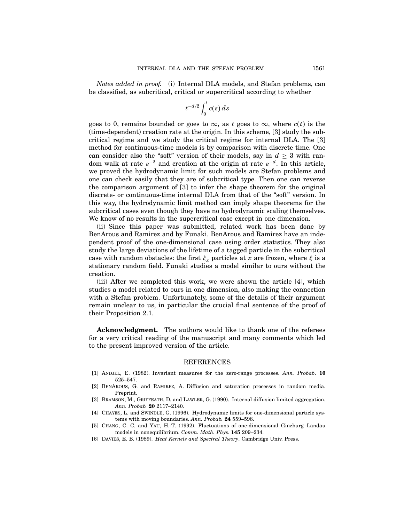Notes added in proof. (i) Internal DLA models, and Stefan problems, can be classified, as subcritical, critical or supercritical according to whether

$$
t^{-d/2}\int_0^t c(s)\,ds
$$

goes to 0, remains bounded or goes to  $\infty$ , as t goes to  $\infty$ , where  $c(t)$  is the (time-dependent) creation rate at the origin. In this scheme, [3] study the subcritical regime and we study the critical regime for internal DLA. The [3] method for continuous-time models is by comparison with discrete time. One can consider also the "soft" version of their models, say in  $d \geq 3$  with random walk at rate  $\varepsilon^{-2}$  and creation at the origin at rate  $\varepsilon^{-d}$ . In this article, we proved the hydrodynamic limit for such models are Stefan problems and one can check easily that they are of subcritical type. Then one can reverse the comparison argument of [3] to infer the shape theorem for the original discrete- or continuous-time internal DLA from that of the "soft" version. In this way, the hydrodynamic limit method can imply shape theorems for the subcritical cases even though they have no hydrodynamic scaling themselves. We know of no results in the supercritical case except in one dimension.

(ii) Since this paper was submitted, related work has been done by BenArous and Ramirez and by Funaki. BenArous and Ramirez have an independent proof of the one-dimensional case using order statistics. They also study the large deviations of the lifetime of a tagged particle in the subcritical case with random obstacles: the first  $\xi_x$  particles at x are frozen, where  $\xi$  is a stationary random field. Funaki studies a model similar to ours without the creation.

(iii) After we completed this work, we were shown the article [4], which studies a model related to ours in one dimension, also making the connection with a Stefan problem. Unfortunately, some of the details of their argument remain unclear to us, in particular the crucial final sentence of the proof of their Proposition 2.1.

Acknowledgment. The authors would like to thank one of the referees for a very critical reading of the manuscript and many comments which led to the present improved version of the article.

## REFERENCES

- [1] Andjel, E. (1982). Invariant measures for the zero-range processes. Ann. Probab. 10 525–547.
- [2] BENAROUS, G. and RAMIREZ, A. Diffusion and saturation processes in random media. Preprint.
- [3] BRAMSON, M., GRIFFEATH, D. and LAWLER, G. (1990). Internal diffusion limited aggregation. Ann. Probab. 20 2117–2140.
- [4] CHAYES, L. and SWINDLE, G. (1996). Hydrodynamic limits for one-dimensional particle systems with moving boundaries. Ann. Probab. 24 559–598.
- [5] Chang, C. C. and Yau, H.-T. (1992). Fluctuations of one-dimensional Ginzburg–Landau models in nonequilibrium. Comm. Math. Phys. 145 209–234.
- [6] DAVIES, E. B. (1989). Heat Kernels and Spectral Theory. Cambridge Univ. Press.